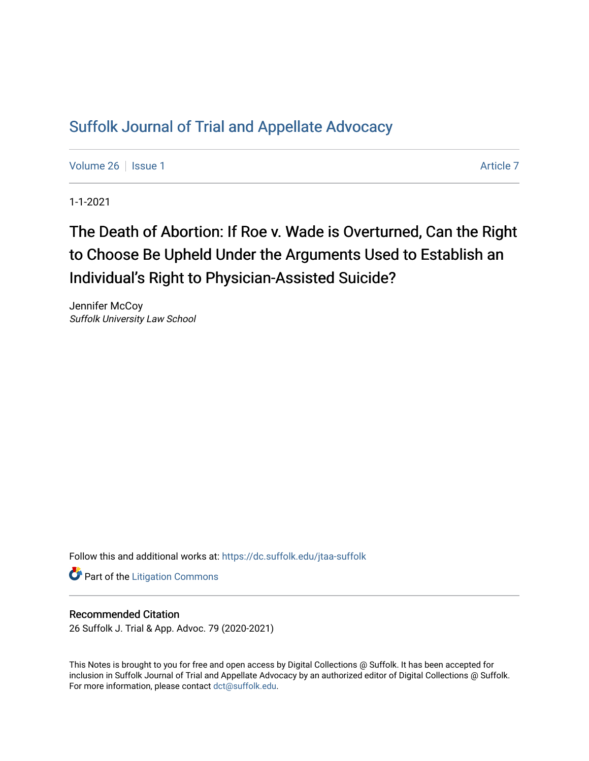## [Suffolk Journal of Trial and Appellate Advocacy](https://dc.suffolk.edu/jtaa-suffolk)

[Volume 26](https://dc.suffolk.edu/jtaa-suffolk/vol26) | [Issue 1](https://dc.suffolk.edu/jtaa-suffolk/vol26/iss1) [Article 7](https://dc.suffolk.edu/jtaa-suffolk/vol26/iss1/7) Article 7 Article 7 Article 7 Article 7 Article 7 Article 7

1-1-2021

# The Death of Abortion: If Roe v. Wade is Overturned, Can the Right to Choose Be Upheld Under the Arguments Used to Establish an Individual's Right to Physician-Assisted Suicide?

Jennifer McCoy Suffolk University Law School

Follow this and additional works at: [https://dc.suffolk.edu/jtaa-suffolk](https://dc.suffolk.edu/jtaa-suffolk?utm_source=dc.suffolk.edu%2Fjtaa-suffolk%2Fvol26%2Fiss1%2F7&utm_medium=PDF&utm_campaign=PDFCoverPages) 

**Part of the [Litigation Commons](https://network.bepress.com/hgg/discipline/910?utm_source=dc.suffolk.edu%2Fjtaa-suffolk%2Fvol26%2Fiss1%2F7&utm_medium=PDF&utm_campaign=PDFCoverPages)** 

#### Recommended Citation

26 Suffolk J. Trial & App. Advoc. 79 (2020-2021)

This Notes is brought to you for free and open access by Digital Collections @ Suffolk. It has been accepted for inclusion in Suffolk Journal of Trial and Appellate Advocacy by an authorized editor of Digital Collections @ Suffolk. For more information, please contact [dct@suffolk.edu](mailto:dct@suffolk.edu).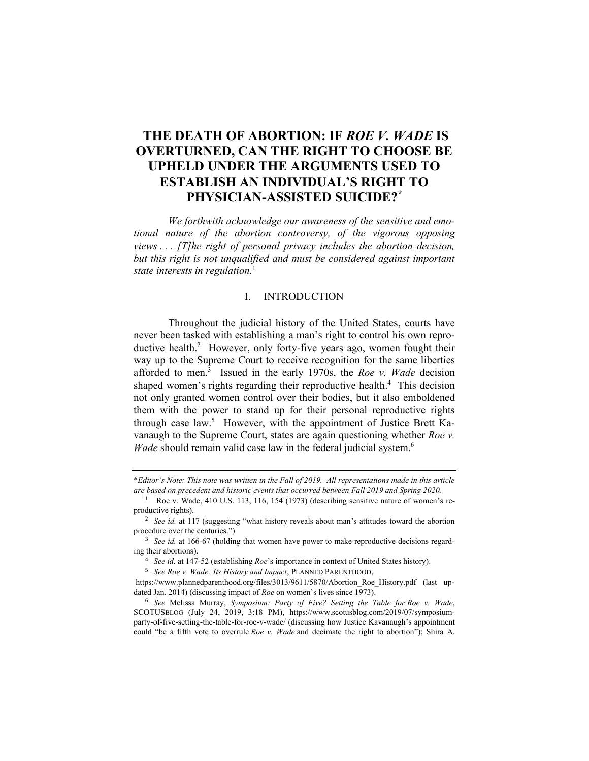### **THE DEATH OF ABORTION: IF** *ROE V. WADE* **IS OVERTURNED, CAN THE RIGHT TO CHOOSE BE UPHELD UNDER THE ARGUMENTS USED TO ESTABLISH AN INDIVIDUAL'S RIGHT TO PHYSICIAN-ASSISTED SUICIDE?\***

*We forthwith acknowledge our awareness of the sensitive and emotional nature of the abortion controversy, of the vigorous opposing views . . . [T]he right of personal privacy includes the abortion decision,*  but this right is not unqualified and must be considered against important *state interests in regulation.*<sup>1</sup>

#### I. INTRODUCTION

Throughout the judicial history of the United States, courts have never been tasked with establishing a man's right to control his own reproductive health. <sup>2</sup> However, only forty-five years ago, women fought their way up to the Supreme Court to receive recognition for the same liberties afforded to men. 3 Issued in the early 1970s, the *Roe v. Wade* decision shaped women's rights regarding their reproductive health.<sup>4</sup> This decision not only granted women control over their bodies, but it also emboldened them with the power to stand up for their personal reproductive rights through case law.<sup>5</sup> However, with the appointment of Justice Brett Kavanaugh to the Supreme Court, states are again questioning whether *Roe v. Wade* should remain valid case law in the federal judicial system.<sup>6</sup>

<sup>4</sup> *See id.* at 147-52 (establishing *Roe*'s importance in context of United States history).

<sup>5</sup> *See Roe v. Wade: Its History and Impact*, PLANNED PARENTHOOD,

https://www.plannedparenthood.org/files/3013/9611/5870/Abortion\_Roe\_History.pdf (last updated Jan. 2014) (discussing impact of *Roe* on women's lives since 1973).

<sup>6</sup> *See* Melissa Murray, *Symposium: Party of Five? Setting the Table for Roe v. Wade*, SCOTUSBLOG (July 24, 2019, 3:18 PM), https://www.scotusblog.com/2019/07/symposiumparty-of-five-setting-the-table-for-roe-v-wade/ (discussing how Justice Kavanaugh's appointment could "be a fifth vote to overrule *Roe v. Wade* and decimate the right to abortion"); Shira A.

<sup>\*</sup>*Editor's Note: This note was written in the Fall of 2019. All representations made in this article are based on precedent and historic events that occurred between Fall 2019 and Spring 2020.*

<sup>&</sup>lt;sup>1</sup> Roe v. Wade, 410 U.S. 113, 116, 154 (1973) (describing sensitive nature of women's reproductive rights).

<sup>2</sup> *See id.* at 117 (suggesting "what history reveals about man's attitudes toward the abortion procedure over the centuries.")

<sup>&</sup>lt;sup>3</sup> *See id.* at 166-67 (holding that women have power to make reproductive decisions regarding their abortions).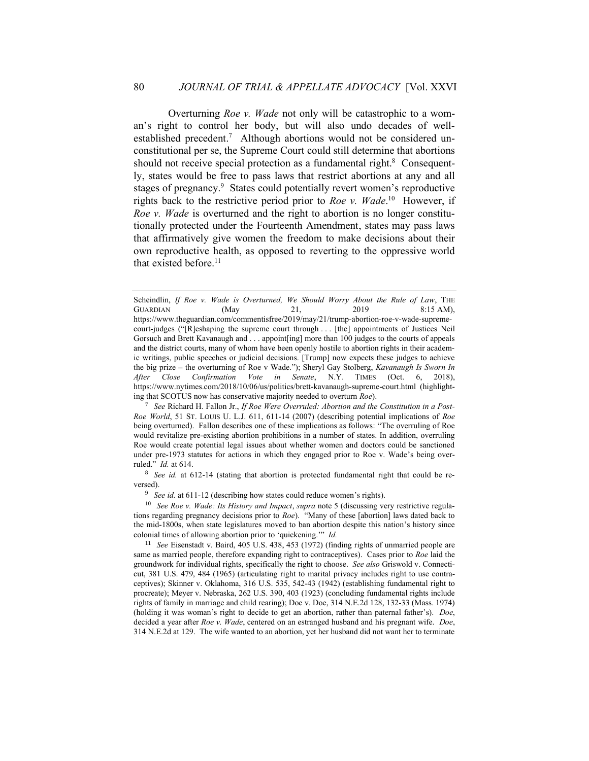Overturning *Roe v. Wade* not only will be catastrophic to a woman's right to control her body, but will also undo decades of wellestablished precedent.<sup>7</sup> Although abortions would not be considered unconstitutional per se, the Supreme Court could still determine that abortions should not receive special protection as a fundamental right. $8$  Consequently, states would be free to pass laws that restrict abortions at any and all stages of pregnancy.<sup>9</sup> States could potentially revert women's reproductive rights back to the restrictive period prior to *Roe v. Wade*. 10 However, if *Roe v. Wade* is overturned and the right to abortion is no longer constitutionally protected under the Fourteenth Amendment, states may pass laws that affirmatively give women the freedom to make decisions about their own reproductive health, as opposed to reverting to the oppressive world that existed before.<sup>11</sup>

Scheindlin, *If Roe v. Wade is Overturned, We Should Worry About the Rule of Law*, THE GUARDIAN (May 21, 2019 8:15 AM), https://www.theguardian.com/commentisfree/2019/may/21/trump-abortion-roe-v-wade-supremecourt-judges ("[R]eshaping the supreme court through . . . [the] appointments of Justices Neil Gorsuch and Brett Kavanaugh and . . . appoint[ing] more than 100 judges to the courts of appeals and the district courts, many of whom have been openly hostile to abortion rights in their academic writings, public speeches or judicial decisions. [Trump] now expects these judges to achieve the big prize – the overturning of Roe v Wade."); Sheryl Gay Stolberg, *Kavanaugh Is Sworn In After Close Confirmation Vote in Senate*, N.Y. TIMES (Oct. 6, 2018), https://www.nytimes.com/2018/10/06/us/politics/brett-kavanaugh-supreme-court.html (highlighting that SCOTUS now has conservative majority needed to overturn *Roe*).

<sup>7</sup> *See* Richard H. Fallon Jr., *If Roe Were Overruled: Abortion and the Constitution in a Post-Roe World*, 51 ST. LOUIS U. L.J. 611, 611-14 (2007) (describing potential implications of *Roe* being overturned). Fallon describes one of these implications as follows: "The overruling of Roe would revitalize pre-existing abortion prohibitions in a number of states. In addition, overruling Roe would create potential legal issues about whether women and doctors could be sanctioned under pre-1973 statutes for actions in which they engaged prior to Roe v. Wade's being overruled." *Id.* at 614.

<sup>&</sup>lt;sup>8</sup> *See id.* at 612-14 (stating that abortion is protected fundamental right that could be reversed).

<sup>&</sup>lt;sup>9</sup> *See id.* at 611-12 (describing how states could reduce women's rights).

<sup>10</sup> *See Roe v. Wade: Its History and Impact*, *supra* note 5 (discussing very restrictive regulations regarding pregnancy decisions prior to *Roe*). "Many of these [abortion] laws dated back to the mid-1800s, when state legislatures moved to ban abortion despite this nation's history since colonial times of allowing abortion prior to 'quickening.'" *Id.*

<sup>11</sup> *See* Eisenstadt v. Baird, 405 U.S. 438, 453 (1972) (finding rights of unmarried people are same as married people, therefore expanding right to contraceptives). Cases prior to *Roe* laid the groundwork for individual rights, specifically the right to choose. *See also* Griswold v. Connecticut, 381 U.S. 479, 484 (1965) (articulating right to marital privacy includes right to use contraceptives); Skinner v. Oklahoma, 316 U.S. 535, 542-43 (1942) (establishing fundamental right to procreate); Meyer v. Nebraska, 262 U.S. 390, 403 (1923) (concluding fundamental rights include rights of family in marriage and child rearing); Doe v. Doe, 314 N.E.2d 128, 132-33 (Mass. 1974) (holding it was woman's right to decide to get an abortion, rather than paternal father's). *Doe*, decided a year after *Roe v. Wade*, centered on an estranged husband and his pregnant wife. *Doe*, 314 N.E.2d at 129. The wife wanted to an abortion, yet her husband did not want her to terminate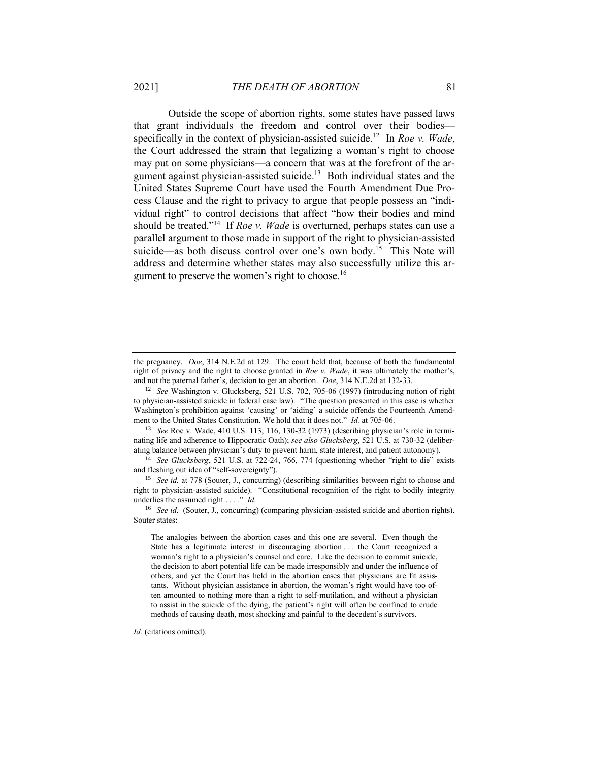Outside the scope of abortion rights, some states have passed laws that grant individuals the freedom and control over their bodies specifically in the context of physician-assisted suicide. 12 In *Roe v. Wade*, the Court addressed the strain that legalizing a woman's right to choose may put on some physicians—a concern that was at the forefront of the argument against physician-assisted suicide.<sup>13</sup> Both individual states and the United States Supreme Court have used the Fourth Amendment Due Process Clause and the right to privacy to argue that people possess an "individual right" to control decisions that affect "how their bodies and mind should be treated."<sup>14</sup> If *Roe v. Wade* is overturned, perhaps states can use a parallel argument to those made in support of the right to physician-assisted suicide—as both discuss control over one's own body.<sup>15</sup> This Note will address and determine whether states may also successfully utilize this argument to preserve the women's right to choose.<sup>16</sup>

<sup>13</sup> *See* Roe v. Wade, 410 U.S. 113, 116, 130-32 (1973) (describing physician's role in terminating life and adherence to Hippocratic Oath); *see also Glucksberg*, 521 U.S. at 730-32 (deliberating balance between physician's duty to prevent harm, state interest, and patient autonomy).

<sup>14</sup> *See Glucksberg*, 521 U.S. at 722-24, 766, 774 (questioning whether "right to die" exists and fleshing out idea of "self-sovereignty").

<sup>15</sup> *See id.* at 778 (Souter, J., concurring) (describing similarities between right to choose and right to physician-assisted suicide). "Constitutional recognition of the right to bodily integrity underlies the assumed right . . . ." *Id.*

<sup>16</sup> *See id*. (Souter, J., concurring) (comparing physician-assisted suicide and abortion rights). Souter states:

The analogies between the abortion cases and this one are several. Even though the State has a legitimate interest in discouraging abortion . . . the Court recognized a woman's right to a physician's counsel and care. Like the decision to commit suicide, the decision to abort potential life can be made irresponsibly and under the influence of others, and yet the Court has held in the abortion cases that physicians are fit assistants. Without physician assistance in abortion, the woman's right would have too often amounted to nothing more than a right to self-mutilation, and without a physician to assist in the suicide of the dying, the patient's right will often be confined to crude methods of causing death, most shocking and painful to the decedent's survivors.

*Id.* (citations omitted).

the pregnancy. *Doe*, 314 N.E.2d at 129. The court held that, because of both the fundamental right of privacy and the right to choose granted in *Roe v. Wade*, it was ultimately the mother's, and not the paternal father's, decision to get an abortion. *Doe*, 314 N.E.2d at 132-33.

<sup>12</sup> *See* Washington v. Glucksberg, 521 U.S. 702, 705-06 (1997) (introducing notion of right to physician-assisted suicide in federal case law). "The question presented in this case is whether Washington's prohibition against 'causing' or 'aiding' a suicide offends the Fourteenth Amendment to the United States Constitution. We hold that it does not." *Id.* at 705-06.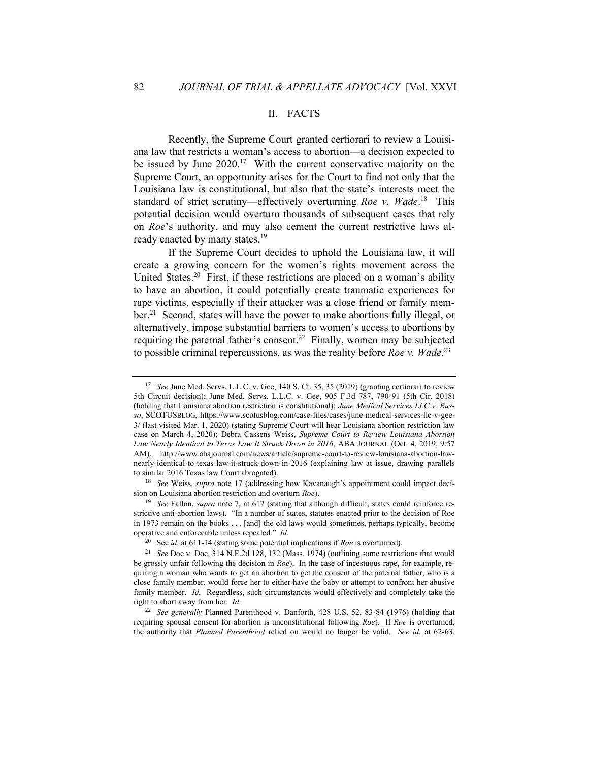#### II. FACTS

Recently, the Supreme Court granted certiorari to review a Louisiana law that restricts a woman's access to abortion—a decision expected to be issued by June 2020.<sup>17</sup> With the current conservative majority on the Supreme Court, an opportunity arises for the Court to find not only that the Louisiana law is constitutional, but also that the state's interests meet the standard of strict scrutiny-effectively overturning *Roe v. Wade*.<sup>18</sup> This potential decision would overturn thousands of subsequent cases that rely on *Roe*'s authority, and may also cement the current restrictive laws already enacted by many states.<sup>19</sup>

If the Supreme Court decides to uphold the Louisiana law, it will create a growing concern for the women's rights movement across the United States.<sup>20</sup> First, if these restrictions are placed on a woman's ability to have an abortion, it could potentially create traumatic experiences for rape victims, especially if their attacker was a close friend or family member.<sup>21</sup> Second, states will have the power to make abortions fully illegal, or alternatively, impose substantial barriers to women's access to abortions by requiring the paternal father's consent.<sup>22</sup> Finally, women may be subjected to possible criminal repercussions, as was the reality before *Roe v. Wade*. 23

<sup>17</sup> *See* June Med. Servs. L.L.C. v. Gee, 140 S. Ct. 35, 35 (2019) (granting certiorari to review 5th Circuit decision); June Med. Servs. L.L.C. v. Gee, 905 F.3d 787, 790-91 (5th Cir. 2018) (holding that Louisiana abortion restriction is constitutional); *June Medical Services LLC v. Russo*, SCOTUSBLOG, https://www.scotusblog.com/case-files/cases/june-medical-services-llc-v-gee-3/ (last visited Mar. 1, 2020) (stating Supreme Court will hear Louisiana abortion restriction law case on March 4, 2020); Debra Cassens Weiss, *Supreme Court to Review Louisiana Abortion Law Nearly Identical to Texas Law It Struck Down in 2016*, ABA JOURNAL (Oct. 4, 2019, 9:57 AM), http://www.abajournal.com/news/article/supreme-court-to-review-louisiana-abortion-lawnearly-identical-to-texas-law-it-struck-down-in-2016 (explaining law at issue, drawing parallels to similar 2016 Texas law Court abrogated).

<sup>18</sup> *See* Weiss, *supra* note 17 (addressing how Kavanaugh's appointment could impact decision on Louisiana abortion restriction and overturn *Roe*).

<sup>19</sup> *See* Fallon, *supra* note 7, at 612 (stating that although difficult, states could reinforce restrictive anti-abortion laws). "In a number of states, statutes enacted prior to the decision of Roe in 1973 remain on the books . . . [and] the old laws would sometimes, perhaps typically, become operative and enforceable unless repealed." *Id.*

<sup>20</sup> See *id.* at 611-14 (stating some potential implications if *Roe* is overturned).

<sup>21</sup> *See* Doe v. Doe, 314 N.E.2d 128, 132 (Mass. 1974) (outlining some restrictions that would be grossly unfair following the decision in *Roe*). In the case of incestuous rape, for example, requiring a woman who wants to get an abortion to get the consent of the paternal father, who is a close family member, would force her to either have the baby or attempt to confront her abusive family member. *Id.* Regardless, such circumstances would effectively and completely take the right to abort away from her. *Id.*

<sup>22</sup> *See generally* Planned Parenthood v. Danforth, 428 U.S. 52, 83-84 **(**1976) (holding that requiring spousal consent for abortion is unconstitutional following *Roe*). If *Roe* is overturned, the authority that *Planned Parenthood* relied on would no longer be valid. *See id.* at 62-63.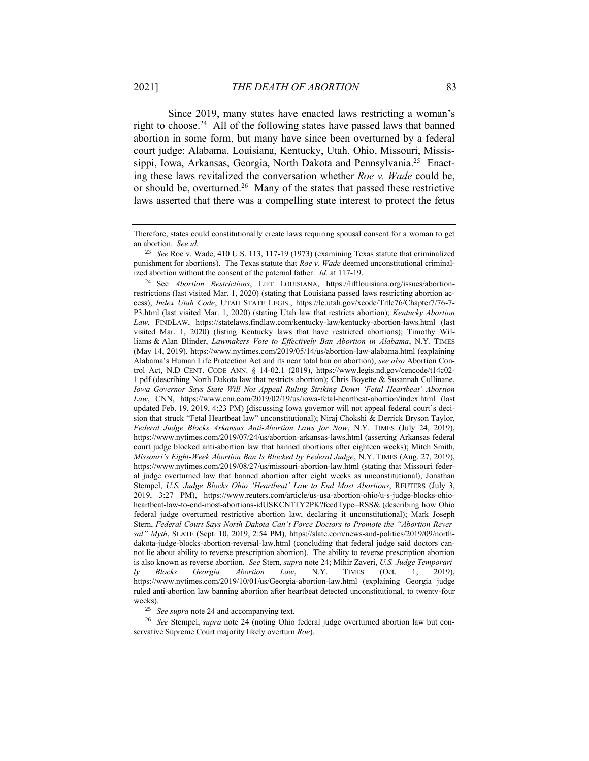Since 2019, many states have enacted laws restricting a woman's right to choose.<sup>24</sup> All of the following states have passed laws that banned abortion in some form, but many have since been overturned by a federal court judge: Alabama, Louisiana, Kentucky, Utah, Ohio, Missouri, Mississippi, Iowa, Arkansas, Georgia, North Dakota and Pennsylvania.<sup>25</sup> Enacting these laws revitalized the conversation whether *Roe v. Wade* could be, or should be, overturned.<sup>26</sup> Many of the states that passed these restrictive laws asserted that there was a compelling state interest to protect the fetus

<sup>25</sup> *See supra* note 24 and accompanying text.

<sup>26</sup> *See* Stempel, *supra* note 24 (noting Ohio federal judge overturned abortion law but conservative Supreme Court majority likely overturn *Roe*).

Therefore, states could constitutionally create laws requiring spousal consent for a woman to get an abortion. *See id.*

<sup>23</sup> *See* Roe v. Wade, 410 U.S. 113, 117-19 (1973) (examining Texas statute that criminalized punishment for abortions). The Texas statute that *Roe v. Wade* deemed unconstitutional criminalized abortion without the consent of the paternal father. *Id.* at 117-19.

<sup>24</sup> See *Abortion Restrictions*, LIFT LOUISIANA, https://liftlouisiana.org/issues/abortionrestrictions (last visited Mar. 1, 2020) (stating that Louisiana passed laws restricting abortion access); *Index Utah Code*, UTAH STATE LEGIS., https://le.utah.gov/xcode/Title76/Chapter7/76-7- P3.html (last visited Mar. 1, 2020) (stating Utah law that restricts abortion); *Kentucky Abortion Law*, FINDLAW, https://statelaws.findlaw.com/kentucky-law/kentucky-abortion-laws.html (last visited Mar. 1, 2020) (listing Kentucky laws that have restricted abortions); Timothy Williams & Alan Blinder, *Lawmakers Vote to Effectively Ban Abortion in Alabama*, N.Y. TIMES (May 14, 2019), https://www.nytimes.com/2019/05/14/us/abortion-law-alabama.html (explaining Alabama's Human Life Protection Act and its near total ban on abortion); *see also* Abortion Control Act, N.D CENT. CODE ANN. § 14-02.1 (2019), https://www.legis.nd.gov/cencode/t14c02- 1.pdf (describing North Dakota law that restricts abortion); Chris Boyette & Susannah Cullinane, *Iowa Governor Says State Will Not Appeal Ruling Striking Down 'Fetal Heartbeat' Abortion Law*, CNN, https://www.cnn.com/2019/02/19/us/iowa-fetal-heartbeat-abortion/index.html (last updated Feb. 19, 2019, 4:23 PM) (discussing Iowa governor will not appeal federal court's decision that struck "Fetal Heartbeat law" unconstitutional); Niraj Chokshi & Derrick Bryson Taylor, *Federal Judge Blocks Arkansas Anti-Abortion Laws for Now*, N.Y. TIMES (July 24, 2019), https://www.nytimes.com/2019/07/24/us/abortion-arkansas-laws.html (asserting Arkansas federal court judge blocked anti-abortion law that banned abortions after eighteen weeks); Mitch Smith, *Missouri's Eight-Week Abortion Ban Is Blocked by Federal Judge*, N.Y. TIMES (Aug. 27, 2019), https://www.nytimes.com/2019/08/27/us/missouri-abortion-law.html (stating that Missouri federal judge overturned law that banned abortion after eight weeks as unconstitutional); Jonathan Stempel, *U.S. Judge Blocks Ohio 'Heartbeat' Law to End Most Abortions*, REUTERS (July 3, 2019, 3:27 PM), https://www.reuters.com/article/us-usa-abortion-ohio/u-s-judge-blocks-ohioheartbeat-law-to-end-most-abortions-idUSKCN1TY2PK?feedType=RSS& (describing how Ohio federal judge overturned restrictive abortion law, declaring it unconstitutional); Mark Joseph Stern, *Federal Court Says North Dakota Can't Force Doctors to Promote the "Abortion Reversal" Myth*, SLATE (Sept. 10, 2019, 2:54 PM), https://slate.com/news-and-politics/2019/09/northdakota-judge-blocks-abortion-reversal-law.html (concluding that federal judge said doctors cannot lie about ability to reverse prescription abortion). The ability to reverse prescription abortion is also known as reverse abortion. *See* Stern, *supra* note 24; Mihir Zaveri, *U.S. Judge Temporarily Blocks Georgia Abortion Law*, N.Y. TIMES (Oct. 1, 2019), https://www.nytimes.com/2019/10/01/us/Georgia-abortion-law.html (explaining Georgia judge ruled anti-abortion law banning abortion after heartbeat detected unconstitutional, to twenty-four weeks).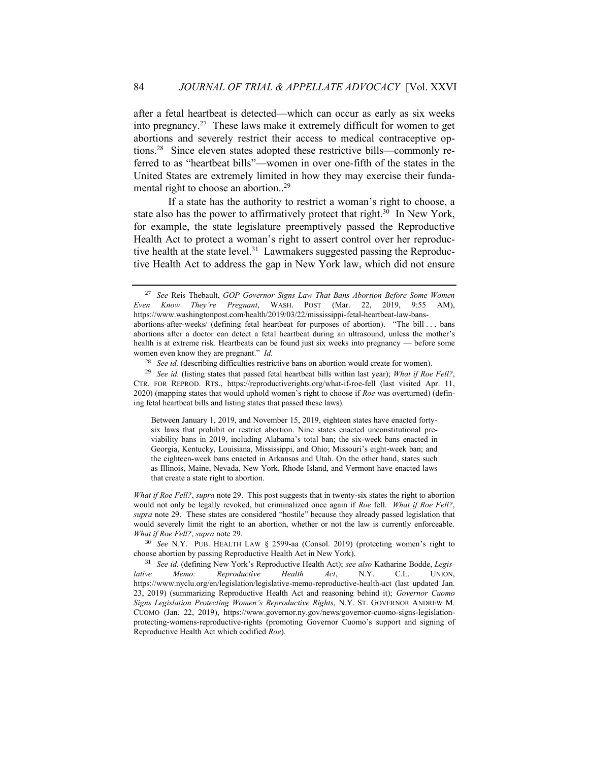after a fetal heartbeat is detected—which can occur as early as six weeks into pregnancy.<sup>27</sup> These laws make it extremely difficult for women to get abortions and severely restrict their access to medical contraceptive options. 28 Since eleven states adopted these restrictive bills—commonly referred to as "heartbeat bills"—women in over one-fifth of the states in the United States are extremely limited in how they may exercise their fundamental right to choose an abortion..<sup>29</sup>

If a state has the authority to restrict a woman's right to choose, a state also has the power to affirmatively protect that right.<sup>30</sup> In New York, for example, the state legislature preemptively passed the Reproductive Health Act to protect a woman's right to assert control over her reproductive health at the state level.<sup>31</sup> Lawmakers suggested passing the Reproductive Health Act to address the gap in New York law, which did not ensure

Between January 1, 2019, and November 15, 2019, eighteen states have enacted fortysix laws that prohibit or restrict abortion. Nine states enacted unconstitutional previability bans in 2019, including Alabama's total ban; the six-week bans enacted in Georgia, Kentucky, Louisiana, Mississippi, and Ohio; Missouri's eight-week ban; and the eighteen-week bans enacted in Arkansas and Utah. On the other hand, states such as Illinois, Maine, Nevada, New York, Rhode Island, and Vermont have enacted laws that create a state right to abortion.

*What if Roe Fell?*, *supra* note 29. This post suggests that in twenty-six states the right to abortion would not only be legally revoked, but criminalized once again if *Roe* fell. *What if Roe Fell?*, *supra* note 29. These states are considered "hostile" because they already passed legislation that would severely limit the right to an abortion, whether or not the law is currently enforceable. *What if Roe Fell?*, *supra* note 29.

<sup>27</sup> *See* Reis Thebault, *GOP Governor Signs Law That Bans Abortion Before Some Women Even Know They're Pregnant*, WASH. POST (Mar. 22, 2019, 9:55 AM), https://www.washingtonpost.com/health/2019/03/22/mississippi-fetal-heartbeat-law-bansabortions-after-weeks/ (defining fetal heartbeat for purposes of abortion). "The bill . . . bans abortions after a doctor can detect a fetal heartbeat during an ultrasound, unless the mother's health is at extreme risk. Heartbeats can be found just six weeks into pregnancy — before some women even know they are pregnant." *Id.* 

<sup>28</sup> *See id.* (describing difficulties restrictive bans on abortion would create for women).

<sup>29</sup> *See id.* (listing states that passed fetal heartbeat bills within last year); *What if Roe Fell?*, CTR. FOR REPROD. RTS., https://reproductiverights.org/what-if-roe-fell (last visited Apr. 11, 2020) (mapping states that would uphold women's right to choose if *Roe* was overturned) (defining fetal heartbeat bills and listing states that passed these laws).

<sup>30</sup> *See* N.Y. PUB. HEALTH LAW § 2599-aa (Consol. 2019) (protecting women's right to choose abortion by passing Reproductive Health Act in New York).

<sup>31</sup> *See id.* (defining New York's Reproductive Health Act); *see also* Katharine Bodde, *Legislative Memo: Reproductive Health Act*, N.Y. C.L. UNION, https://www.nyclu.org/en/legislation/legislative-memo-reproductive-health-act (last updated Jan. 23, 2019) (summarizing Reproductive Health Act and reasoning behind it); *Governor Cuomo Signs Legislation Protecting Women's Reproductive Rights*, N.Y. ST. GOVERNOR ANDREW M. CUOMO (Jan. 22, 2019), https://www.governor.ny.gov/news/governor-cuomo-signs-legislationprotecting-womens-reproductive-rights (promoting Governor Cuomo's support and signing of Reproductive Health Act which codified *Roe*).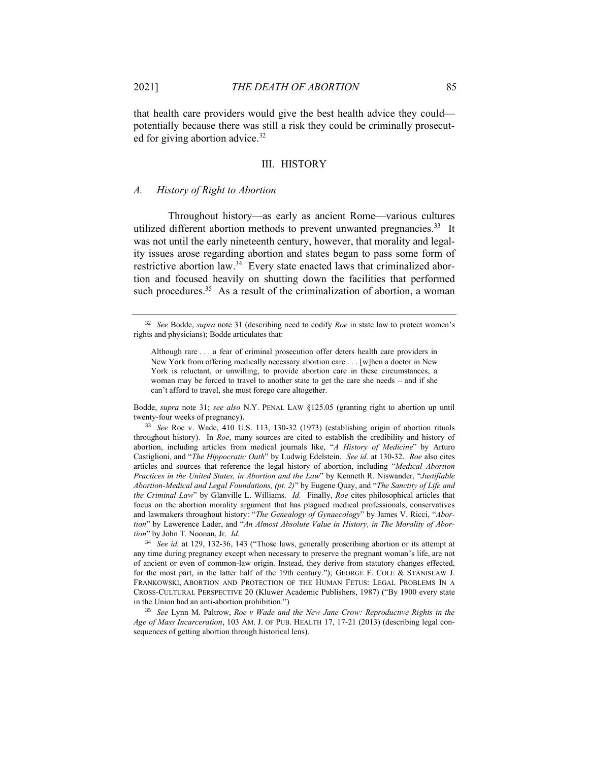that health care providers would give the best health advice they could potentially because there was still a risk they could be criminally prosecuted for giving abortion advice.<sup>32</sup>

#### III. HISTORY

#### *A. History of Right to Abortion*

Throughout history—as early as ancient Rome—various cultures utilized different abortion methods to prevent unwanted pregnancies.<sup>33</sup> It was not until the early nineteenth century, however, that morality and legality issues arose regarding abortion and states began to pass some form of restrictive abortion law.<sup>34</sup> Every state enacted laws that criminalized abortion and focused heavily on shutting down the facilities that performed such procedures.<sup>35</sup> As a result of the criminalization of abortion, a woman

Bodde, *supra* note 31; *see also* N.Y. PENAL LAW §125.05 (granting right to abortion up until twenty-four weeks of pregnancy).

<sup>33</sup> *See* Roe v. Wade, 410 U.S. 113, 130-32 (1973) (establishing origin of abortion rituals throughout history). In *Roe*, many sources are cited to establish the credibility and history of abortion, including articles from medical journals like, "*A History of Medicine*" by Arturo Castiglioni, and "*The Hippocratic Oath*" by Ludwig Edelstein. *See id.* at 130-32. *Roe* also cites articles and sources that reference the legal history of abortion, including "*Medical Abortion Practices in the United States, in Abortion and the Law*" by Kenneth R. Niswander, "*Justifiable Abortion-Medical and Legal Foundations, (pt. 2)*" by Eugene Quay, and "*The Sanctity of Life and the Criminal Law*" by Glanville L. Williams. *Id.* Finally, *Roe* cites philosophical articles that focus on the abortion morality argument that has plagued medical professionals, conservatives and lawmakers throughout history: "*The Genealogy of Gynaecology*" by James V. Ricci, "*Abortion*" by Lawerence Lader, and "*An Almost Absolute Value in History, in The Morality of Abortion*" by John T. Noonan, Jr. *Id.*

<sup>34</sup> *See id.* at 129, 132-36, 143 ("Those laws, generally proscribing abortion or its attempt at any time during pregnancy except when necessary to preserve the pregnant woman's life, are not of ancient or even of common-law origin. Instead, they derive from statutory changes effected, for the most part, in the latter half of the 19th century."); GEORGE F. COLE & STANISLAW J. FRANKOWSKI, ABORTION AND PROTECTION OF THE HUMAN FETUS: LEGAL PROBLEMS IN A CROSS-CULTURAL PERSPECTIVE 20 (Kluwer Academic Publishers, 1987) ("By 1900 every state in the Union had an anti-abortion prohibition.")

<sup>35</sup> *See* Lynn M. Paltrow, *Roe v Wade and the New Jane Crow: Reproductive Rights in the Age of Mass Incarceration*, 103 AM. J. OF PUB. HEALTH 17, 17-21 (2013) (describing legal consequences of getting abortion through historical lens).

<sup>32</sup> *See* Bodde, *supra* note 31 (describing need to codify *Roe* in state law to protect women's rights and physicians); Bodde articulates that:

Although rare . . . a fear of criminal prosecution offer deters health care providers in New York from offering medically necessary abortion care . . . [w]hen a doctor in New York is reluctant, or unwilling, to provide abortion care in these circumstances, a woman may be forced to travel to another state to get the care she needs – and if she can't afford to travel, she must forego care altogether.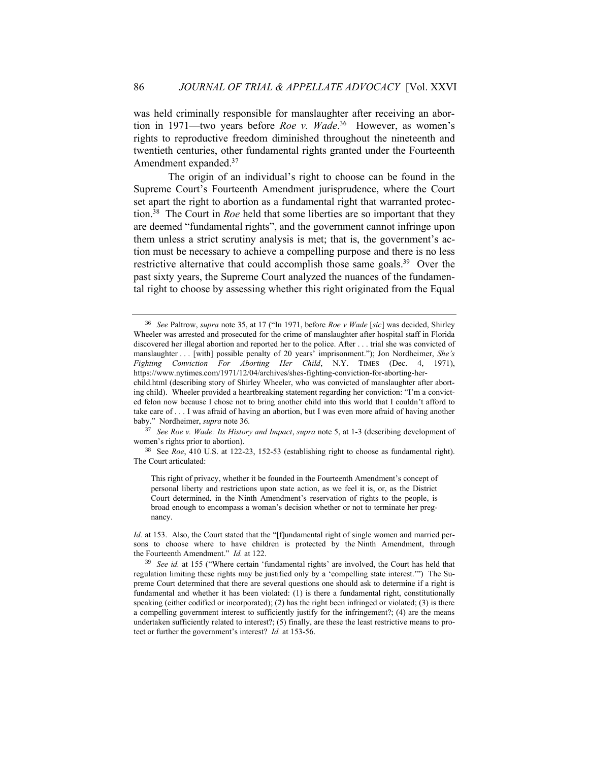was held criminally responsible for manslaughter after receiving an abortion in 1971—two years before *Roe v. Wade*. 36 However, as women's rights to reproductive freedom diminished throughout the nineteenth and twentieth centuries, other fundamental rights granted under the Fourteenth Amendment expanded. 37

The origin of an individual's right to choose can be found in the Supreme Court's Fourteenth Amendment jurisprudence, where the Court set apart the right to abortion as a fundamental right that warranted protection. 38 The Court in *Roe* held that some liberties are so important that they are deemed "fundamental rights", and the government cannot infringe upon them unless a strict scrutiny analysis is met; that is, the government's action must be necessary to achieve a compelling purpose and there is no less restrictive alternative that could accomplish those same goals.<sup>39</sup> Over the past sixty years, the Supreme Court analyzed the nuances of the fundamental right to choose by assessing whether this right originated from the Equal

<sup>37</sup> *See Roe v. Wade: Its History and Impact*, *supra* note 5, at 1-3 (describing development of women's rights prior to abortion).

<sup>38</sup> See *Roe*, 410 U.S. at 122-23, 152-53 (establishing right to choose as fundamental right). The Court articulated:

This right of privacy, whether it be founded in the Fourteenth Amendment's concept of personal liberty and restrictions upon state action, as we feel it is, or, as the District Court determined, in the Ninth Amendment's reservation of rights to the people, is broad enough to encompass a woman's decision whether or not to terminate her pregnancy.

*Id.* at 153. Also, the Court stated that the "[f]undamental right of single women and married persons to choose where to have children is protected by the Ninth Amendment, through the Fourteenth Amendment." *Id.* at 122.

<sup>36</sup> *See* Paltrow, *supra* note 35, at 17 ("In 1971, before *Roe v Wade* [*sic*] was decided, Shirley Wheeler was arrested and prosecuted for the crime of manslaughter after hospital staff in Florida discovered her illegal abortion and reported her to the police. After . . . trial she was convicted of manslaughter . . . [with] possible penalty of 20 years' imprisonment."); Jon Nordheimer, *She's Fighting Conviction For Aborting Her Child*, N.Y. TIMES (Dec. 4, 1971), https://www.nytimes.com/1971/12/04/archives/shes-fighting-conviction-for-aborting-her-

child.html (describing story of Shirley Wheeler, who was convicted of manslaughter after aborting child). Wheeler provided a heartbreaking statement regarding her conviction: "I'm a convicted felon now because I chose not to bring another child into this world that I couldn't afford to take care of . . . I was afraid of having an abortion, but I was even more afraid of having another baby." Nordheimer, *supra* note 36.

<sup>39</sup> *See id.* at 155 ("Where certain 'fundamental rights' are involved, the Court has held that regulation limiting these rights may be justified only by a 'compelling state interest.'") The Supreme Court determined that there are several questions one should ask to determine if a right is fundamental and whether it has been violated: (1) is there a fundamental right, constitutionally speaking (either codified or incorporated); (2) has the right been infringed or violated; (3) is there a compelling government interest to sufficiently justify for the infringement?; (4) are the means undertaken sufficiently related to interest?; (5) finally, are these the least restrictive means to protect or further the government's interest? *Id.* at 153-56.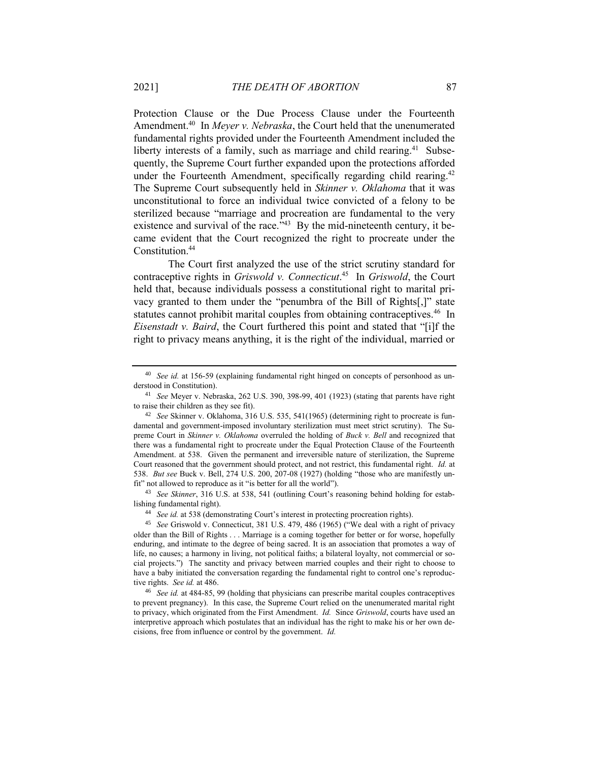Protection Clause or the Due Process Clause under the Fourteenth Amendment.<sup>40</sup> In *Meyer v. Nebraska*, the Court held that the unenumerated fundamental rights provided under the Fourteenth Amendment included the liberty interests of a family, such as marriage and child rearing.<sup>41</sup> Subsequently, the Supreme Court further expanded upon the protections afforded under the Fourteenth Amendment, specifically regarding child rearing.<sup>42</sup> The Supreme Court subsequently held in *Skinner v. Oklahoma* that it was unconstitutional to force an individual twice convicted of a felony to be sterilized because "marriage and procreation are fundamental to the very existence and survival of the race.<sup> $343$ </sup> By the mid-nineteenth century, it became evident that the Court recognized the right to procreate under the Constitution.<sup>44</sup>

The Court first analyzed the use of the strict scrutiny standard for contraceptive rights in *Griswold v. Connecticut*. 45 In *Griswold*, the Court held that, because individuals possess a constitutional right to marital privacy granted to them under the "penumbra of the Bill of Rights[,]" state statutes cannot prohibit marital couples from obtaining contraceptives.<sup>46</sup> In *Eisenstadt v. Baird*, the Court furthered this point and stated that "[i]f the right to privacy means anything, it is the right of the individual, married or

<sup>43</sup> *See Skinner*, 316 U.S. at 538, 541 (outlining Court's reasoning behind holding for establishing fundamental right).

<sup>44</sup> *See id.* at 538 (demonstrating Court's interest in protecting procreation rights).

<sup>40</sup> *See id.* at 156-59 (explaining fundamental right hinged on concepts of personhood as understood in Constitution).

<sup>41</sup> *See* Meyer v. Nebraska, 262 U.S. 390, 398-99, 401 (1923) (stating that parents have right to raise their children as they see fit).

<sup>42</sup> *See* Skinner v. Oklahoma, 316 U.S. 535, 541(1965) (determining right to procreate is fundamental and government-imposed involuntary sterilization must meet strict scrutiny). The Supreme Court in *Skinner v. Oklahoma* overruled the holding of *Buck v. Bell* and recognized that there was a fundamental right to procreate under the Equal Protection Clause of the Fourteenth Amendment. at 538. Given the permanent and irreversible nature of sterilization, the Supreme Court reasoned that the government should protect, and not restrict, this fundamental right. *Id.* at 538. *But see* Buck v. Bell, 274 U.S. 200, 207-08 (1927) (holding "those who are manifestly unfit" not allowed to reproduce as it "is better for all the world").

<sup>45</sup> *See* Griswold v. Connecticut, 381 U.S. 479, 486 (1965) ("We deal with a right of privacy older than the Bill of Rights . . . Marriage is a coming together for better or for worse, hopefully enduring, and intimate to the degree of being sacred. It is an association that promotes a way of life, no causes; a harmony in living, not political faiths; a bilateral loyalty, not commercial or social projects.") The sanctity and privacy between married couples and their right to choose to have a baby initiated the conversation regarding the fundamental right to control one's reproductive rights. *See id.* at 486.

<sup>46</sup> *See id.* at 484-85, 99 (holding that physicians can prescribe marital couples contraceptives to prevent pregnancy). In this case, the Supreme Court relied on the unenumerated marital right to privacy, which originated from the First Amendment. *Id.* Since *Griswold*, courts have used an interpretive approach which postulates that an individual has the right to make his or her own decisions, free from influence or control by the government. *Id.*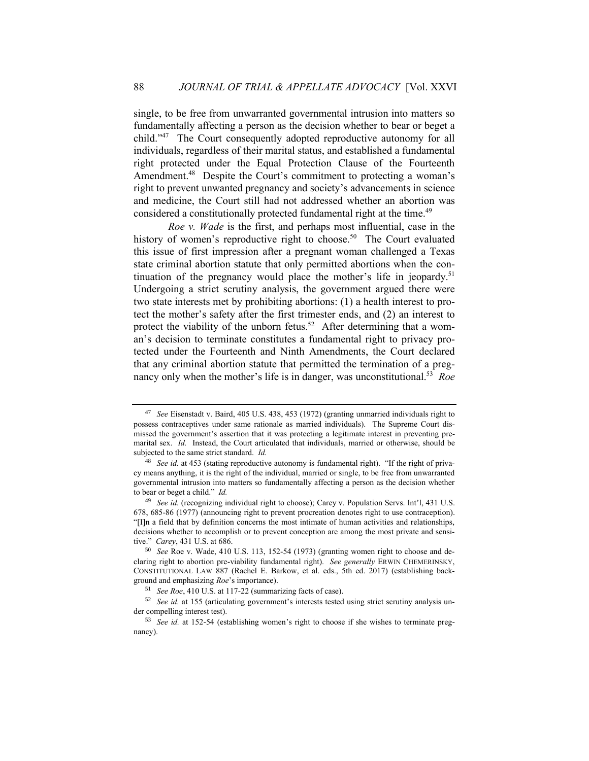single, to be free from unwarranted governmental intrusion into matters so fundamentally affecting a person as the decision whether to bear or beget a child." 47 The Court consequently adopted reproductive autonomy for all individuals, regardless of their marital status, and established a fundamental right protected under the Equal Protection Clause of the Fourteenth Amendment.<sup>48</sup> Despite the Court's commitment to protecting a woman's right to prevent unwanted pregnancy and society's advancements in science and medicine, the Court still had not addressed whether an abortion was considered a constitutionally protected fundamental right at the time. 49

*Roe v. Wade* is the first, and perhaps most influential, case in the history of women's reproductive right to choose.<sup>50</sup> The Court evaluated this issue of first impression after a pregnant woman challenged a Texas state criminal abortion statute that only permitted abortions when the continuation of the pregnancy would place the mother's life in jeopardy.<sup>51</sup> Undergoing a strict scrutiny analysis, the government argued there were two state interests met by prohibiting abortions: (1) a health interest to protect the mother's safety after the first trimester ends, and (2) an interest to protect the viability of the unborn fetus.<sup>52</sup> After determining that a woman's decision to terminate constitutes a fundamental right to privacy protected under the Fourteenth and Ninth Amendments, the Court declared that any criminal abortion statute that permitted the termination of a pregnancy only when the mother's life is in danger, was unconstitutional.<sup>53</sup> Roe

<sup>47</sup> *See* Eisenstadt v. Baird, 405 U.S. 438, 453 (1972) (granting unmarried individuals right to possess contraceptives under same rationale as married individuals). The Supreme Court dismissed the government's assertion that it was protecting a legitimate interest in preventing premarital sex. *Id.* Instead, the Court articulated that individuals, married or otherwise, should be subjected to the same strict standard. *Id.*

<sup>48</sup> *See id.* at 453 (stating reproductive autonomy is fundamental right). "If the right of privacy means anything, it is the right of the individual, married or single, to be free from unwarranted governmental intrusion into matters so fundamentally affecting a person as the decision whether to bear or beget a child." *Id.*

<sup>49</sup> *See id.* (recognizing individual right to choose); Carey v. Population Servs. Int'l, 431 U.S. 678, 685-86 (1977) (announcing right to prevent procreation denotes right to use contraception). "[I]n a field that by definition concerns the most intimate of human activities and relationships, decisions whether to accomplish or to prevent conception are among the most private and sensitive." *Carey*, 431 U.S. at 686.

<sup>50</sup> *See* Roe v. Wade, 410 U.S. 113, 152-54 (1973) (granting women right to choose and declaring right to abortion pre-viability fundamental right). *See generally* ERWIN CHEMERINSKY, CONSTITUTIONAL LAW 887 (Rachel E. Barkow, et al. eds., 5th ed. 2017) (establishing background and emphasizing *Roe*'s importance).

<sup>51</sup> *See Roe*, 410 U.S. at 117-22 (summarizing facts of case).

<sup>52</sup> *See id.* at 155 (articulating government's interests tested using strict scrutiny analysis under compelling interest test).

<sup>53</sup> *See id.* at 152-54 (establishing women's right to choose if she wishes to terminate pregnancy).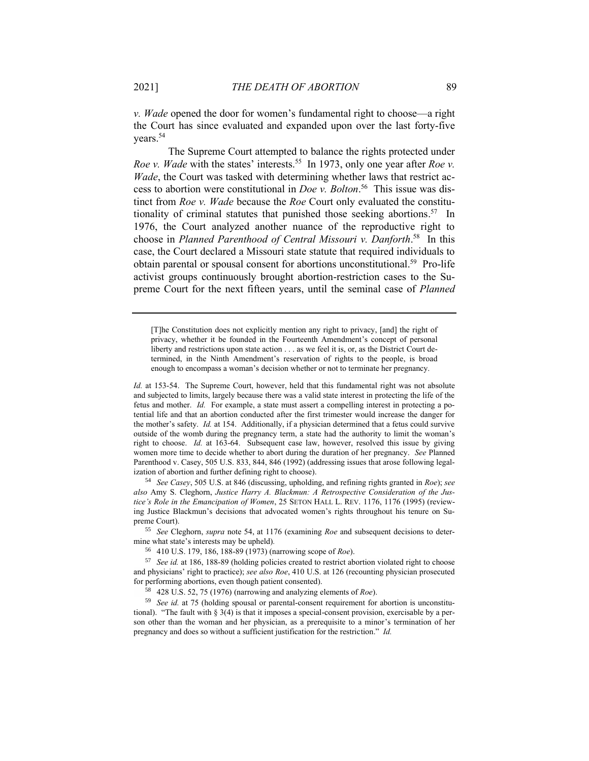*v. Wade* opened the door for women's fundamental right to choose—a right the Court has since evaluated and expanded upon over the last forty-five years. 54

The Supreme Court attempted to balance the rights protected under *Roe v. Wade* with the states' interests.<sup>55</sup> In 1973, only one year after *Roe v. Wade*, the Court was tasked with determining whether laws that restrict access to abortion were constitutional in *Doe v. Bolton*. 56 This issue was distinct from *Roe v. Wade* because the *Roe* Court only evaluated the constitutionality of criminal statutes that punished those seeking abortions. 57 In 1976, the Court analyzed another nuance of the reproductive right to choose in *Planned Parenthood of Central Missouri v. Danforth*. 58 In this case, the Court declared a Missouri state statute that required individuals to obtain parental or spousal consent for abortions unconstitutional. 59 Pro-life activist groups continuously brought abortion-restriction cases to the Supreme Court for the next fifteen years, until the seminal case of *Planned* 

[T]he Constitution does not explicitly mention any right to privacy, [and] the right of privacy, whether it be founded in the Fourteenth Amendment's concept of personal liberty and restrictions upon state action . . . as we feel it is, or, as the District Court determined, in the Ninth Amendment's reservation of rights to the people, is broad enough to encompass a woman's decision whether or not to terminate her pregnancy.

*Id.* at 153-54. The Supreme Court, however, held that this fundamental right was not absolute and subjected to limits, largely because there was a valid state interest in protecting the life of the fetus and mother. *Id.* For example, a state must assert a compelling interest in protecting a potential life and that an abortion conducted after the first trimester would increase the danger for the mother's safety. *Id.* at 154. Additionally, if a physician determined that a fetus could survive outside of the womb during the pregnancy term, a state had the authority to limit the woman's right to choose. *Id.* at 163-64. Subsequent case law, however, resolved this issue by giving women more time to decide whether to abort during the duration of her pregnancy. *See* Planned Parenthood v. Casey, 505 U.S. 833, 844, 846 (1992) (addressing issues that arose following legalization of abortion and further defining right to choose).

<sup>54</sup> *See Casey*, 505 U.S. at 846 (discussing, upholding, and refining rights granted in *Roe*); *see also* Amy S. Cleghorn, *Justice Harry A. Blackmun: A Retrospective Consideration of the Justice's Role in the Emancipation of Women*, 25 SETON HALL L. REV. 1176, 1176 (1995) (reviewing Justice Blackmun's decisions that advocated women's rights throughout his tenure on Supreme Court).

<sup>55</sup> *See* Cleghorn, *supra* note 54, at 1176 (examining *Roe* and subsequent decisions to determine what state's interests may be upheld)*.* 

<sup>56</sup> 410 U.S. 179, 186, 188-89 (1973) (narrowing scope of *Roe*).

<sup>57</sup> *See id.* at 186, 188-89 (holding policies created to restrict abortion violated right to choose and physicians' right to practice); *see also Roe*, 410 U.S. at 126 (recounting physician prosecuted for performing abortions, even though patient consented).

<sup>58</sup> 428 U.S. 52, 75 (1976) (narrowing and analyzing elements of *Roe*).

<sup>59</sup> *See id.* at 75 (holding spousal or parental-consent requirement for abortion is unconstitutional). "The fault with  $\S 3(4)$  is that it imposes a special-consent provision, exercisable by a person other than the woman and her physician, as a prerequisite to a minor's termination of her pregnancy and does so without a sufficient justification for the restriction." *Id.*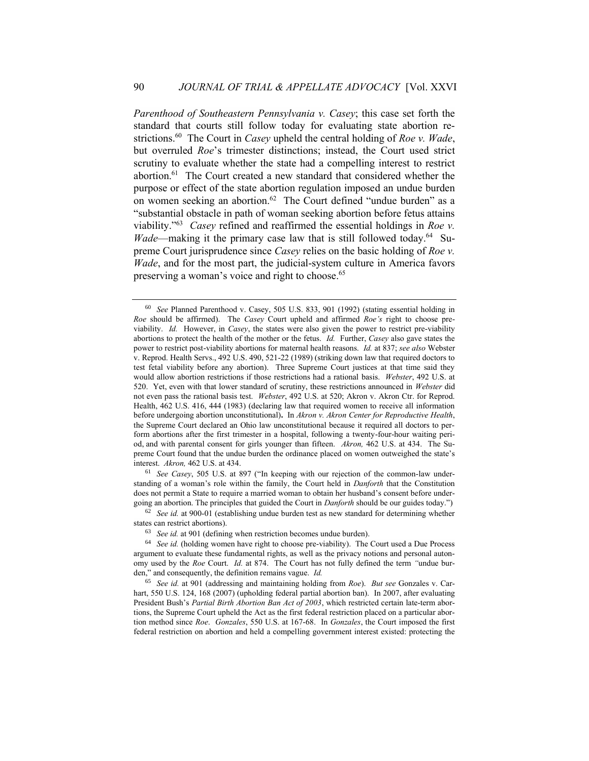*Parenthood of Southeastern Pennsylvania v. Casey*; this case set forth the standard that courts still follow today for evaluating state abortion restrictions. 60 The Court in *Casey* upheld the central holding of *Roe v. Wade*, but overruled *Roe*'s trimester distinctions; instead, the Court used strict scrutiny to evaluate whether the state had a compelling interest to restrict abortion. 61 The Court created a new standard that considered whether the purpose or effect of the state abortion regulation imposed an undue burden on women seeking an abortion.<sup>62</sup> The Court defined "undue burden" as a "substantial obstacle in path of woman seeking abortion before fetus attains viability." 63 *Casey* refined and reaffirmed the essential holdings in *Roe v. Wade*—making it the primary case law that is still followed today.<sup>64</sup> Supreme Court jurisprudence since *Casey* relies on the basic holding of *Roe v. Wade*, and for the most part, the judicial-system culture in America favors preserving a woman's voice and right to choose.<sup>65</sup>

<sup>61</sup> *See Casey*, 505 U.S. at 897 ("In keeping with our rejection of the common-law understanding of a woman's role within the family, the Court held in *Danforth* that the Constitution does not permit a State to require a married woman to obtain her husband's consent before undergoing an abortion. The principles that guided the Court in *Danforth* should be our guides today.")

<sup>60</sup> *See* Planned Parenthood v. Casey, 505 U.S. 833, 901 (1992) (stating essential holding in *Roe* should be affirmed). The *Casey* Court upheld and affirmed *Roe's* right to choose previability. *Id.* However, in *Casey*, the states were also given the power to restrict pre-viability abortions to protect the health of the mother or the fetus. *Id.* Further, *Casey* also gave states the power to restrict post-viability abortions for maternal health reasons. *Id.* at 837; *see also* Webster v. Reprod. Health Servs., 492 U.S. 490, 521-22 (1989) (striking down law that required doctors to test fetal viability before any abortion). Three Supreme Court justices at that time said they would allow abortion restrictions if those restrictions had a rational basis. *Webster*, 492 U.S. at 520. Yet, even with that lower standard of scrutiny, these restrictions announced in *Webster* did not even pass the rational basis test. *Webster*, 492 U.S. at 520; Akron v. Akron Ctr. for Reprod. Health, 462 U.S. 416, 444 (1983) (declaring law that required women to receive all information before undergoing abortion unconstitutional)**.** In *Akron v. Akron Center for Reproductive Health*, the Supreme Court declared an Ohio law unconstitutional because it required all doctors to perform abortions after the first trimester in a hospital, following a twenty-four-hour waiting period, and with parental consent for girls younger than fifteen. *Akron,* 462 U.S. at 434. The Supreme Court found that the undue burden the ordinance placed on women outweighed the state's interest. *Akron,* 462 U.S. at 434.

<sup>62</sup> *See id.* at 900-01 (establishing undue burden test as new standard for determining whether states can restrict abortions).

<sup>63</sup> *See id.* at 901 (defining when restriction becomes undue burden).

<sup>64</sup> *See id.* (holding women have right to choose pre-viability). The Court used a Due Process argument to evaluate these fundamental rights, as well as the privacy notions and personal autonomy used by the *Roe* Court. *Id.* at 874.The Court has not fully defined the term *"*undue burden," and consequently, the definition remains vague. *Id.*

<sup>65</sup> *See id.* at 901 (addressing and maintaining holding from *Roe*). *But see* Gonzales v. Carhart, 550 U.S. 124, 168 (2007) (upholding federal partial abortion ban). In 2007, after evaluating President Bush's *Partial Birth Abortion Ban Act of 2003*, which restricted certain late-term abortions, the Supreme Court upheld the Act as the first federal restriction placed on a particular abortion method since *Roe*. *Gonzales*, 550 U.S. at 167-68. In *Gonzales*, the Court imposed the first federal restriction on abortion and held a compelling government interest existed: protecting the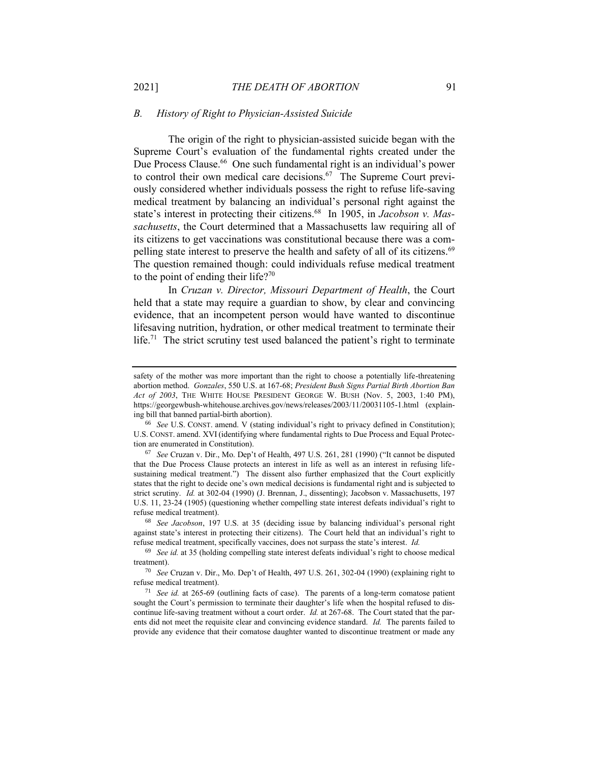#### *B. History of Right to Physician-Assisted Suicide*

The origin of the right to physician-assisted suicide began with the Supreme Court's evaluation of the fundamental rights created under the Due Process Clause. 66 One such fundamental right is an individual's power to control their own medical care decisions. $67$  The Supreme Court previously considered whether individuals possess the right to refuse life-saving medical treatment by balancing an individual's personal right against the state's interest in protecting their citizens.<sup>68</sup> In 1905, in *Jacobson v. Massachusetts*, the Court determined that a Massachusetts law requiring all of its citizens to get vaccinations was constitutional because there was a compelling state interest to preserve the health and safety of all of its citizens.<sup>69</sup> The question remained though: could individuals refuse medical treatment to the point of ending their life?<sup>70</sup>

In *Cruzan v. Director, Missouri Department of Health*, the Court held that a state may require a guardian to show, by clear and convincing evidence, that an incompetent person would have wanted to discontinue lifesaving nutrition, hydration, or other medical treatment to terminate their life.<sup>71</sup> The strict scrutiny test used balanced the patient's right to terminate

safety of the mother was more important than the right to choose a potentially life-threatening abortion method. *Gonzales*, 550 U.S. at 167-68; *President Bush Signs Partial Birth Abortion Ban Act of 2003*, THE WHITE HOUSE PRESIDENT GEORGE W. BUSH (Nov. 5, 2003, 1:40 PM), https://georgewbush-whitehouse.archives.gov/news/releases/2003/11/20031105-1.html (explaining bill that banned partial-birth abortion).

<sup>66</sup> *See* U.S. CONST. amend. V (stating individual's right to privacy defined in Constitution); U.S. CONST. amend. XVI (identifying where fundamental rights to Due Process and Equal Protection are enumerated in Constitution).

<sup>67</sup> *See* Cruzan v. Dir., Mo. Dep't of Health, 497 U.S. 261, 281 (1990) ("It cannot be disputed that the Due Process Clause protects an interest in life as well as an interest in refusing lifesustaining medical treatment.") The dissent also further emphasized that the Court explicitly states that the right to decide one's own medical decisions is fundamental right and is subjected to strict scrutiny. *Id.* at 302-04 (1990) (J. Brennan, J., dissenting); Jacobson v. Massachusetts, 197 U.S. 11, 23-24 (1905) (questioning whether compelling state interest defeats individual's right to refuse medical treatment).

<sup>68</sup> *See Jacobson*, 197 U.S. at 35 (deciding issue by balancing individual's personal right against state's interest in protecting their citizens). The Court held that an individual's right to refuse medical treatment, specifically vaccines, does not surpass the state's interest. *Id.* 

<sup>69</sup> *See id.* at 35 (holding compelling state interest defeats individual's right to choose medical treatment).

<sup>70</sup> *See* Cruzan v. Dir., Mo. Dep't of Health, 497 U.S. 261, 302-04 (1990) (explaining right to refuse medical treatment).

<sup>71</sup> *See id.* at 265-69 (outlining facts of case). The parents of a long-term comatose patient sought the Court's permission to terminate their daughter's life when the hospital refused to discontinue life-saving treatment without a court order. *Id.* at 267-68. The Court stated that the parents did not meet the requisite clear and convincing evidence standard. *Id.* The parents failed to provide any evidence that their comatose daughter wanted to discontinue treatment or made any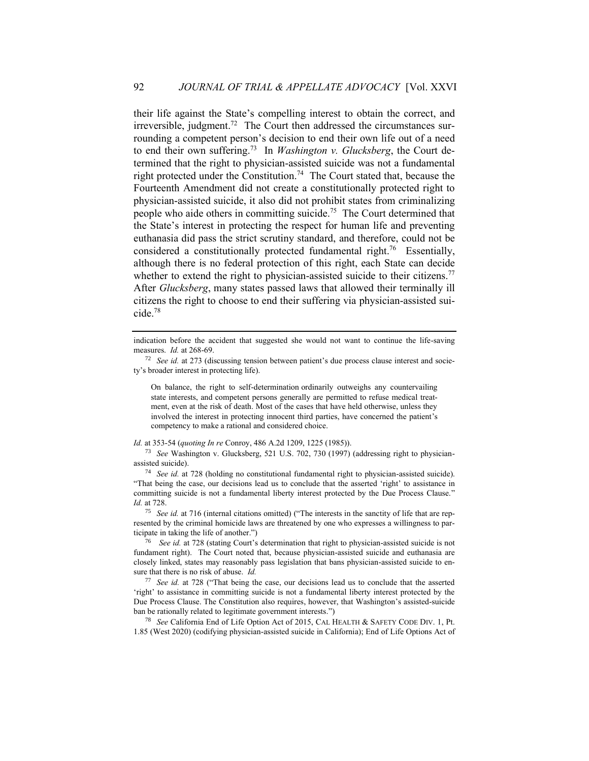their life against the State's compelling interest to obtain the correct, and irreversible, judgment.<sup>72</sup> The Court then addressed the circumstances surrounding a competent person's decision to end their own life out of a need to end their own suffering.<sup>73</sup> In *Washington v. Glucksberg*, the Court determined that the right to physician-assisted suicide was not a fundamental right protected under the Constitution.<sup>74</sup> The Court stated that, because the Fourteenth Amendment did not create a constitutionally protected right to physician-assisted suicide, it also did not prohibit states from criminalizing people who aide others in committing suicide.<sup>75</sup> The Court determined that the State's interest in protecting the respect for human life and preventing euthanasia did pass the strict scrutiny standard, and therefore, could not be considered a constitutionally protected fundamental right.<sup>76</sup> Essentially, although there is no federal protection of this right, each State can decide whether to extend the right to physician-assisted suicide to their citizens.<sup>77</sup> After *Glucksberg*, many states passed laws that allowed their terminally ill citizens the right to choose to end their suffering via physician-assisted suicide.<sup>78</sup>

On balance, the right to self-determination ordinarily outweighs any countervailing state interests, and competent persons generally are permitted to refuse medical treatment, even at the risk of death. Most of the cases that have held otherwise, unless they involved the interest in protecting innocent third parties, have concerned the patient's competency to make a rational and considered choice.

*Id.* at 353-54 (*quoting In re* Conroy, 486 A.2d 1209, 1225 (1985)).

<sup>73</sup> *See* Washington v. Glucksberg, 521 U.S. 702, 730 (1997) (addressing right to physicianassisted suicide).

<sup>74</sup> *See id.* at 728 (holding no constitutional fundamental right to physician-assisted suicide). "That being the case, our decisions lead us to conclude that the asserted 'right' to assistance in committing suicide is not a fundamental liberty interest protected by the Due Process Clause." *Id.* at 728.

<sup>75</sup> *See id.* at 716 (internal citations omitted) ("The interests in the sanctity of life that are represented by the criminal homicide laws are threatened by one who expresses a willingness to participate in taking the life of another.")

<sup>76</sup> *See id.* at 728 (stating Court's determination that right to physician-assisted suicide is not fundament right).The Court noted that, because physician-assisted suicide and euthanasia are closely linked, states may reasonably pass legislation that bans physician-assisted suicide to ensure that there is no risk of abuse. *Id.*

<sup>77</sup> *See id.* at 728 ("That being the case, our decisions lead us to conclude that the asserted 'right' to assistance in committing suicide is not a fundamental liberty interest protected by the Due Process Clause. The Constitution also requires, however, that Washington's assisted-suicide ban be rationally related to legitimate government interests.")

<sup>78</sup> *See* California End of Life Option Act of 2015, CAL HEALTH & SAFETY CODE DIV. 1, Pt. 1.85 (West 2020) (codifying physician-assisted suicide in California); End of Life Options Act of

indication before the accident that suggested she would not want to continue the life-saving measures. *Id.* at 268-69.

<sup>72</sup> *See id.* at 273 (discussing tension between patient's due process clause interest and society's broader interest in protecting life).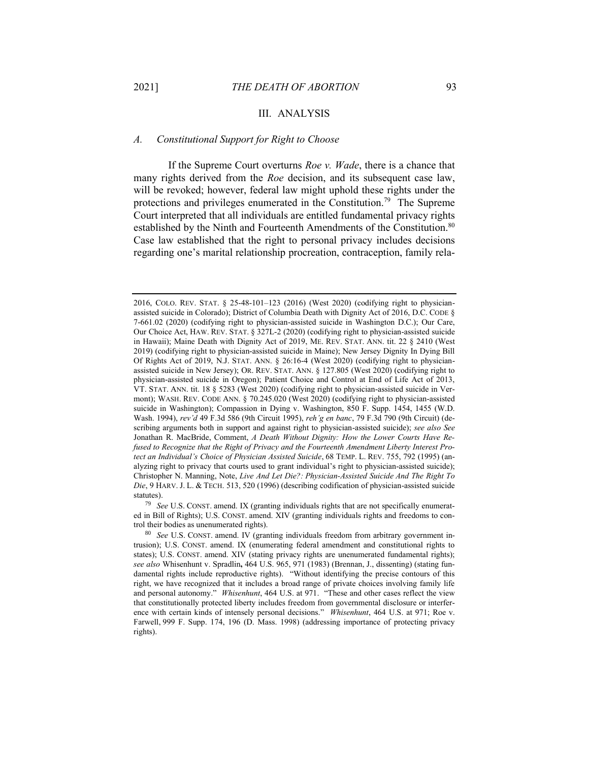#### III. ANALYSIS

#### *A. Constitutional Support for Right to Choose*

If the Supreme Court overturns *Roe v. Wade*, there is a chance that many rights derived from the *Roe* decision, and its subsequent case law, will be revoked; however, federal law might uphold these rights under the protections and privileges enumerated in the Constitution.<sup>79</sup> The Supreme Court interpreted that all individuals are entitled fundamental privacy rights established by the Ninth and Fourteenth Amendments of the Constitution.<sup>80</sup> Case law established that the right to personal privacy includes decisions regarding one's marital relationship procreation, contraception, family rela-

<sup>2016,</sup> COLO. REV. STAT. § 25-48-101–123 (2016) (West 2020) (codifying right to physicianassisted suicide in Colorado); District of Columbia Death with Dignity Act of 2016, D.C. CODE § 7-661.02 (2020) (codifying right to physician-assisted suicide in Washington D.C.); Our Care, Our Choice Act, HAW. REV. STAT. § 327L-2 (2020) (codifying right to physician-assisted suicide in Hawaii); Maine Death with Dignity Act of 2019, ME. REV. STAT. ANN. tit. 22 § 2410 (West 2019) (codifying right to physician-assisted suicide in Maine); New Jersey Dignity In Dying Bill Of Rights Act of 2019, N.J. STAT. ANN. § 26:16-4 (West 2020) (codifying right to physicianassisted suicide in New Jersey); OR. REV. STAT. ANN. § 127.805 (West 2020) (codifying right to physician-assisted suicide in Oregon); Patient Choice and Control at End of Life Act of 2013, VT. STAT. ANN. tit. 18 § 5283 (West 2020) (codifying right to physician-assisted suicide in Vermont); WASH. REV. CODE ANN. § 70.245.020 (West 2020) (codifying right to physician-assisted suicide in Washington); Compassion in Dying v. Washington, 850 F. Supp. 1454, 1455 (W.D. Wash. 1994), *rev'd* 49 F.3d 586 (9th Circuit 1995), *reh'g en banc*, 79 F.3d 790 (9th Circuit) (describing arguments both in support and against right to physician-assisted suicide); *see also See* Jonathan R. MacBride, Comment, *A Death Without Dignity: How the Lower Courts Have Refused to Recognize that the Right of Privacy and the Fourteenth Amendment Liberty Interest Protect an Individual's Choice of Physician Assisted Suicide*, 68 TEMP. L. REV. 755, 792 (1995) (analyzing right to privacy that courts used to grant individual's right to physician-assisted suicide); Christopher N. Manning, Note, *Live And Let Die?: Physician-Assisted Suicide And The Right To Die*, 9 HARV. J. L. & TECH. 513, 520 (1996) (describing codification of physician-assisted suicide statutes).

<sup>79</sup> *See* U.S. CONST. amend. IX (granting individuals rights that are not specifically enumerated in Bill of Rights); U.S. CONST. amend. XIV (granting individuals rights and freedoms to control their bodies as unenumerated rights).

<sup>80</sup> *See* U.S. CONST. amend. IV (granting individuals freedom from arbitrary government intrusion); U.S. CONST. amend. IX (enumerating federal amendment and constitutional rights to states); U.S. CONST. amend. XIV (stating privacy rights are unenumerated fundamental rights); *see also* Whisenhunt v. Spradlin**,** 464 U.S. 965, 971 (1983) (Brennan, J., dissenting) (stating fundamental rights include reproductive rights). "Without identifying the precise contours of this right, we have recognized that it includes a broad range of private choices involving family life and personal autonomy." *Whisenhunt*, 464 U.S. at 971. "These and other cases reflect the view that constitutionally protected liberty includes freedom from governmental disclosure or interference with certain kinds of intensely personal decisions." *Whisenhunt*, 464 U.S. at 971; Roe v. Farwell, 999 F. Supp. 174, 196 (D. Mass. 1998) (addressing importance of protecting privacy rights).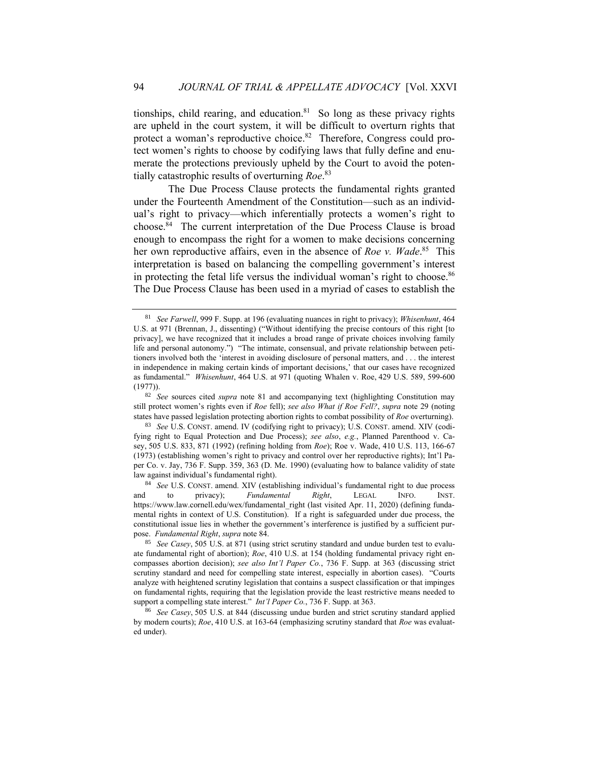tionships, child rearing, and education. $81$  So long as these privacy rights are upheld in the court system, it will be difficult to overturn rights that protect a woman's reproductive choice.<sup>82</sup> Therefore, Congress could protect women's rights to choose by codifying laws that fully define and enumerate the protections previously upheld by the Court to avoid the potentially catastrophic results of overturning *Roe*. 83

The Due Process Clause protects the fundamental rights granted under the Fourteenth Amendment of the Constitution—such as an individual's right to privacy—which inferentially protects a women's right to choose. 84 The current interpretation of the Due Process Clause is broad enough to encompass the right for a women to make decisions concerning her own reproductive affairs, even in the absence of *Roe v. Wade*. 85 This interpretation is based on balancing the compelling government's interest in protecting the fetal life versus the individual woman's right to choose.<sup>86</sup> The Due Process Clause has been used in a myriad of cases to establish the

<sup>81</sup> *See Farwell*, 999 F. Supp. at 196 (evaluating nuances in right to privacy); *Whisenhunt*, 464 U.S. at 971 (Brennan, J., dissenting) ("Without identifying the precise contours of this right [to privacy], we have recognized that it includes a broad range of private choices involving family life and personal autonomy.") "The intimate, consensual, and private relationship between petitioners involved both the 'interest in avoiding disclosure of personal matters, and . . . the interest in independence in making certain kinds of important decisions,' that our cases have recognized as fundamental." *Whisenhunt*, 464 U.S. at 971 (quoting Whalen v. Roe, 429 U.S. 589, 599-600 (1977)).

<sup>82</sup> *See* sources cited *supra* note 81 and accompanying text (highlighting Constitution may still protect women's rights even if *Roe* fell); *see also What if Roe Fell?*, *supra* note 29 (noting states have passed legislation protecting abortion rights to combat possibility of *Roe* overturning).

<sup>83</sup> *See* U.S. CONST. amend. IV (codifying right to privacy); U.S. CONST. amend. XIV (codifying right to Equal Protection and Due Process); *see also*, *e.g.*, Planned Parenthood v. Casey, 505 U.S. 833, 871 (1992) (refining holding from *Roe*); Roe v. Wade, 410 U.S. 113, 166-67 (1973) (establishing women's right to privacy and control over her reproductive rights); Int'l Paper Co. v. Jay, 736 F. Supp. 359, 363 (D. Me. 1990) (evaluating how to balance validity of state law against individual's fundamental right).

<sup>84</sup> *See* U.S. CONST. amend. XIV (establishing individual's fundamental right to due process and to privacy); *Fundamental Right*, LEGAL INFO. INST. https://www.law.cornell.edu/wex/fundamental\_right (last visited Apr. 11, 2020) (defining fundamental rights in context of U.S. Constitution). If a right is safeguarded under due process, the constitutional issue lies in whether the government's interference is justified by a sufficient purpose. *Fundamental Right*, *supra* note 84.

<sup>85</sup> *See Casey*, 505 U.S. at 871 (using strict scrutiny standard and undue burden test to evaluate fundamental right of abortion); *Roe*, 410 U.S. at 154 (holding fundamental privacy right encompasses abortion decision); *see also Int'l Paper Co.*, 736 F. Supp. at 363 (discussing strict scrutiny standard and need for compelling state interest, especially in abortion cases). "Courts analyze with heightened scrutiny legislation that contains a suspect classification or that impinges on fundamental rights, requiring that the legislation provide the least restrictive means needed to support a compelling state interest." *Int'l Paper Co.*, 736 F. Supp. at 363.

<sup>86</sup> *See Casey*, 505 U.S. at 844 (discussing undue burden and strict scrutiny standard applied by modern courts); *Roe*, 410 U.S. at 163-64 (emphasizing scrutiny standard that *Roe* was evaluated under).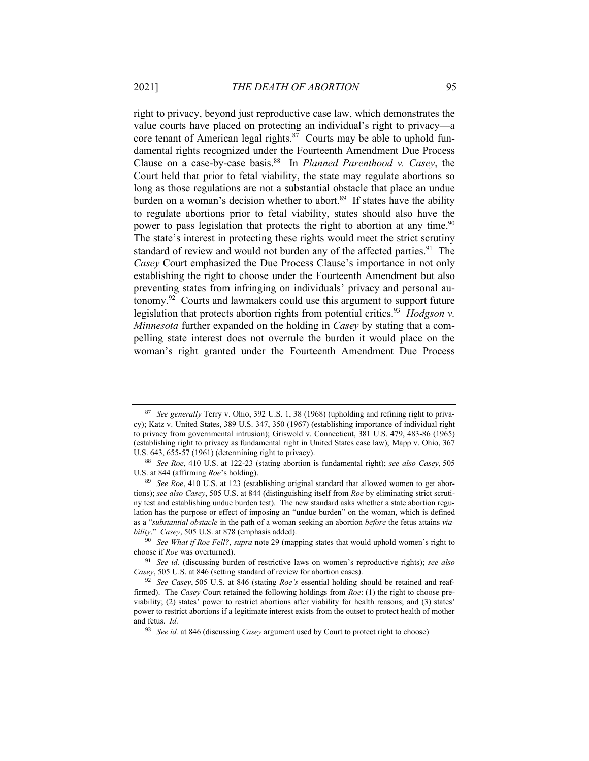right to privacy, beyond just reproductive case law, which demonstrates the value courts have placed on protecting an individual's right to privacy—a core tenant of American legal rights. $87$  Courts may be able to uphold fundamental rights recognized under the Fourteenth Amendment Due Process Clause on a case-by-case basis. 88 In *Planned Parenthood v. Casey*, the Court held that prior to fetal viability, the state may regulate abortions so long as those regulations are not a substantial obstacle that place an undue burden on a woman's decision whether to abort.<sup>89</sup> If states have the ability to regulate abortions prior to fetal viability, states should also have the power to pass legislation that protects the right to abortion at any time.<sup>90</sup> The state's interest in protecting these rights would meet the strict scrutiny standard of review and would not burden any of the affected parties.<sup>91</sup> The *Casey* Court emphasized the Due Process Clause's importance in not only establishing the right to choose under the Fourteenth Amendment but also preventing states from infringing on individuals' privacy and personal autonomy.<sup>92</sup> Courts and lawmakers could use this argument to support future legislation that protects abortion rights from potential critics.<sup>93</sup> *Hodgson v. Minnesota* further expanded on the holding in *Casey* by stating that a compelling state interest does not overrule the burden it would place on the woman's right granted under the Fourteenth Amendment Due Process

<sup>87</sup> *See generally* Terry v. Ohio, 392 U.S. 1, 38 (1968) (upholding and refining right to privacy); Katz v. United States, 389 U.S. 347, 350 (1967) (establishing importance of individual right to privacy from governmental intrusion); Griswold v. Connecticut, 381 U.S. 479, 483-86 (1965) (establishing right to privacy as fundamental right in United States case law); Mapp v. Ohio, 367 U.S. 643, 655-57 (1961) (determining right to privacy).

<sup>88</sup> *See Roe*, 410 U.S. at 122-23 (stating abortion is fundamental right); *see also Casey*, 505 U.S. at 844 (affirming *Roe*'s holding).

<sup>89</sup> *See Roe*, 410 U.S. at 123 (establishing original standard that allowed women to get abortions); *see also Casey*, 505 U.S. at 844 (distinguishing itself from *Roe* by eliminating strict scrutiny test and establishing undue burden test). The new standard asks whether a state abortion regulation has the purpose or effect of imposing an "undue burden" on the woman, which is defined as a "*substantial obstacle* in the path of a woman seeking an abortion *before* the fetus attains *viability*." *Casey*, 505 U.S. at 878 (emphasis added).

<sup>90</sup> *See What if Roe Fell?*, *supra* note 29 (mapping states that would uphold women's right to choose if *Roe* was overturned).

<sup>91</sup> *See id.* (discussing burden of restrictive laws on women's reproductive rights); *see also Casey*, 505 U.S. at 846 (setting standard of review for abortion cases).

<sup>92</sup> *See Casey*, 505 U.S. at 846 (stating *Roe's* essential holding should be retained and reaffirmed). The *Casey* Court retained the following holdings from *Roe*: (1) the right to choose previability; (2) states' power to restrict abortions after viability for health reasons; and (3) states' power to restrict abortions if a legitimate interest exists from the outset to protect health of mother and fetus. *Id.*

<sup>93</sup> *See id.* at 846 (discussing *Casey* argument used by Court to protect right to choose)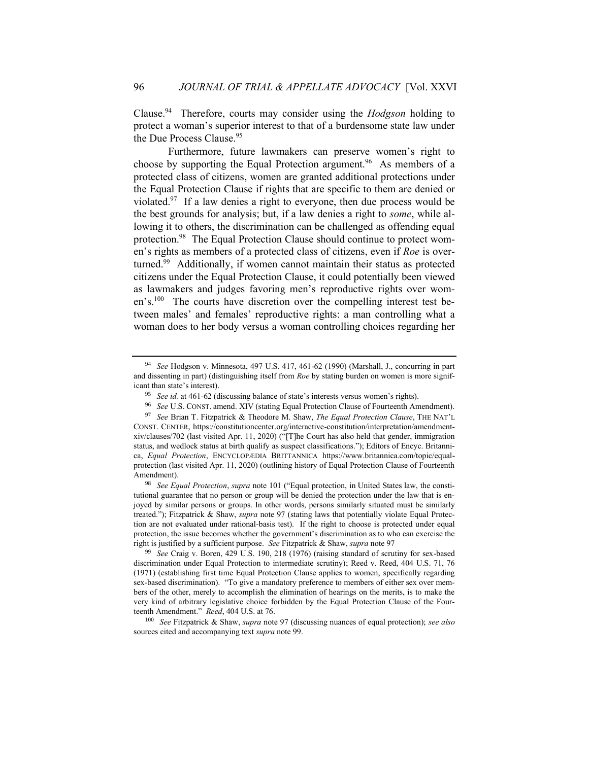Clause.<sup>94</sup> Therefore, courts may consider using the *Hodgson* holding to protect a woman's superior interest to that of a burdensome state law under the Due Process Clause.<sup>95</sup>

Furthermore, future lawmakers can preserve women's right to choose by supporting the Equal Protection argument.<sup>96</sup> As members of a protected class of citizens, women are granted additional protections under the Equal Protection Clause if rights that are specific to them are denied or violated.<sup>97</sup> If a law denies a right to everyone, then due process would be the best grounds for analysis; but, if a law denies a right to *some*, while allowing it to others, the discrimination can be challenged as offending equal protection.<sup>98</sup> The Equal Protection Clause should continue to protect women's rights as members of a protected class of citizens, even if *Roe* is overturned.<sup>99</sup> Additionally, if women cannot maintain their status as protected citizens under the Equal Protection Clause, it could potentially been viewed as lawmakers and judges favoring men's reproductive rights over women's.<sup>100</sup> The courts have discretion over the compelling interest test between males' and females' reproductive rights: a man controlling what a woman does to her body versus a woman controlling choices regarding her

<sup>100</sup> *See* Fitzpatrick & Shaw, *supra* note 97 (discussing nuances of equal protection); *see also* sources cited and accompanying text *supra* note 99.

<sup>94</sup> *See* Hodgson v. Minnesota, 497 U.S. 417, 461-62 (1990) (Marshall, J., concurring in part and dissenting in part) (distinguishing itself from *Roe* by stating burden on women is more significant than state's interest).

<sup>95</sup> *See id.* at 461-62 (discussing balance of state's interests versus women's rights).

<sup>96</sup> *See* U.S. CONST. amend. XIV (stating Equal Protection Clause of Fourteenth Amendment).

<sup>97</sup> *See* Brian T. Fitzpatrick & Theodore M. Shaw, *The Equal Protection Clause*, THE NAT'L CONST. CENTER, https://constitutioncenter.org/interactive-constitution/interpretation/amendmentxiv/clauses/702 (last visited Apr. 11, 2020) ("[T]he Court has also held that gender, immigration status, and wedlock status at birth qualify as suspect classifications."); Editors of Encyc. Britannica, *Equal Protection*, ENCYCLOPÆDIA BRITTANNICA https://www.britannica.com/topic/equalprotection (last visited Apr. 11, 2020) (outlining history of Equal Protection Clause of Fourteenth Amendment).

<sup>98</sup> *See Equal Protection*, *supra* note 101 ("Equal protection, in United States law, the constitutional guarantee that no person or group will be denied the protection under the law that is enjoyed by similar persons or groups. In other words, persons similarly situated must be similarly treated."); Fitzpatrick & Shaw, *supra* note 97 (stating laws that potentially violate Equal Protection are not evaluated under rational-basis test). If the right to choose is protected under equal protection, the issue becomes whether the government's discrimination as to who can exercise the right is justified by a sufficient purpose. *See* Fitzpatrick & Shaw, *supra* note 97

<sup>99</sup> *See* Craig v. Boren, 429 U.S. 190, 218 (1976) (raising standard of scrutiny for sex-based discrimination under Equal Protection to intermediate scrutiny); Reed v. Reed, 404 U.S. 71, 76 (1971) (establishing first time Equal Protection Clause applies to women, specifically regarding sex-based discrimination). "To give a mandatory preference to members of either sex over members of the other, merely to accomplish the elimination of hearings on the merits, is to make the very kind of arbitrary legislative choice forbidden by the Equal Protection Clause of the Fourteenth Amendment." *Reed*, 404 U.S. at 76.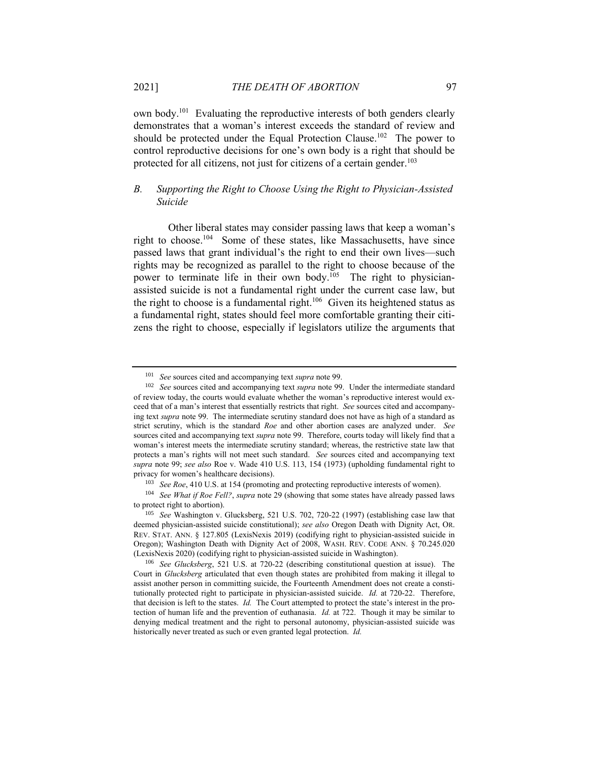own body.<sup>101</sup> Evaluating the reproductive interests of both genders clearly demonstrates that a woman's interest exceeds the standard of review and should be protected under the Equal Protection Clause.<sup>102</sup> The power to control reproductive decisions for one's own body is a right that should be

#### *B. Supporting the Right to Choose Using the Right to Physician-Assisted Suicide*

protected for all citizens, not just for citizens of a certain gender.<sup>103</sup>

Other liberal states may consider passing laws that keep a woman's right to choose. 104 Some of these states, like Massachusetts, have since passed laws that grant individual's the right to end their own lives—such rights may be recognized as parallel to the right to choose because of the power to terminate life in their own body.<sup>105</sup> The right to physicianassisted suicide is not a fundamental right under the current case law, but the right to choose is a fundamental right.<sup>106</sup> Given its heightened status as a fundamental right, states should feel more comfortable granting their citizens the right to choose, especially if legislators utilize the arguments that

<sup>101</sup> *See* sources cited and accompanying text *supra* note 99.

<sup>102</sup> *See* sources cited and accompanying text *supra* note 99. Under the intermediate standard of review today, the courts would evaluate whether the woman's reproductive interest would exceed that of a man's interest that essentially restricts that right. *See* sources cited and accompanying text *supra* note 99. The intermediate scrutiny standard does not have as high of a standard as strict scrutiny, which is the standard *Roe* and other abortion cases are analyzed under. *See*  sources cited and accompanying text *supra* note 99. Therefore, courts today will likely find that a woman's interest meets the intermediate scrutiny standard; whereas, the restrictive state law that protects a man's rights will not meet such standard. *See* sources cited and accompanying text *supra* note 99; *see also* Roe v. Wade 410 U.S. 113, 154 (1973) (upholding fundamental right to privacy for women's healthcare decisions).

<sup>103</sup> *See Roe*, 410 U.S. at 154 (promoting and protecting reproductive interests of women).

<sup>104</sup> *See What if Roe Fell?*, *supra* note 29 (showing that some states have already passed laws to protect right to abortion).

<sup>105</sup> *See* Washington v. Glucksberg, 521 U.S. 702, 720-22 (1997) (establishing case law that deemed physician-assisted suicide constitutional); *see also* Oregon Death with Dignity Act, OR. REV. STAT. ANN. § 127.805 (LexisNexis 2019) (codifying right to physician-assisted suicide in Oregon); Washington Death with Dignity Act of 2008, WASH. REV. CODE ANN. § 70.245.020 (LexisNexis 2020) (codifying right to physician-assisted suicide in Washington).

<sup>106</sup> *See Glucksberg*, 521 U.S. at 720-22 (describing constitutional question at issue). The Court in *Glucksberg* articulated that even though states are prohibited from making it illegal to assist another person in committing suicide, the Fourteenth Amendment does not create a constitutionally protected right to participate in physician-assisted suicide. *Id.* at 720-22. Therefore, that decision is left to the states. *Id.* The Court attempted to protect the state's interest in the protection of human life and the prevention of euthanasia. *Id.* at 722. Though it may be similar to denying medical treatment and the right to personal autonomy, physician-assisted suicide was historically never treated as such or even granted legal protection. *Id.*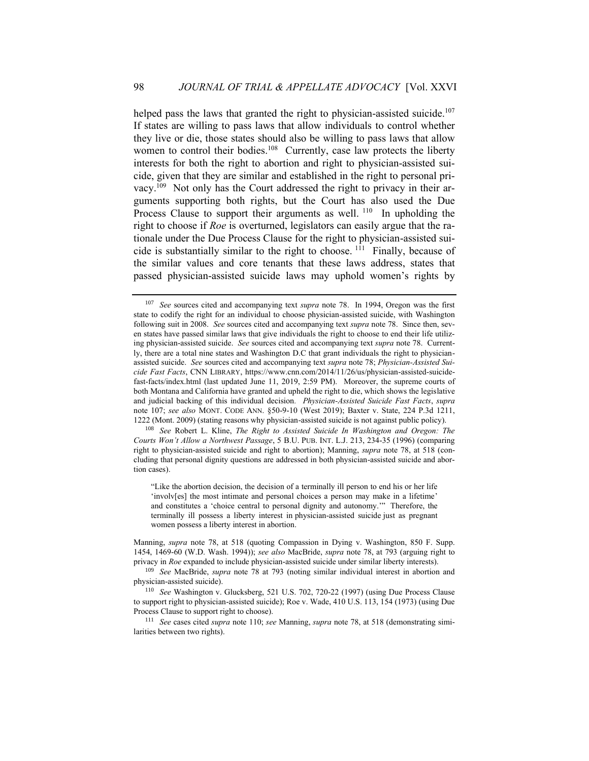helped pass the laws that granted the right to physician-assisted suicide.<sup>107</sup> If states are willing to pass laws that allow individuals to control whether they live or die, those states should also be willing to pass laws that allow women to control their bodies.<sup>108</sup> Currently, case law protects the liberty interests for both the right to abortion and right to physician-assisted suicide, given that they are similar and established in the right to personal privacy.<sup>109</sup> Not only has the Court addressed the right to privacy in their arguments supporting both rights, but the Court has also used the Due Process Clause to support their arguments as well.<sup>110</sup> In upholding the right to choose if *Roe* is overturned, legislators can easily argue that the rationale under the Due Process Clause for the right to physician-assisted suicide is substantially similar to the right to choose. <sup>111</sup> Finally, because of the similar values and core tenants that these laws address, states that passed physician-assisted suicide laws may uphold women's rights by

<sup>108</sup> *See* Robert L. Kline, *The Right to Assisted Suicide In Washington and Oregon: The Courts Won't Allow a Northwest Passage*, 5 B.U. PUB. INT. L.J. 213, 234-35 (1996) (comparing right to physician-assisted suicide and right to abortion); Manning, *supra* note 78, at 518 (concluding that personal dignity questions are addressed in both physician-assisted suicide and abortion cases).

"Like the abortion decision, the decision of a terminally ill person to end his or her life 'involv[es] the most intimate and personal choices a person may make in a lifetime' and constitutes a 'choice central to personal dignity and autonomy.'" Therefore, the terminally ill possess a liberty interest in physician-assisted suicide just as pregnant women possess a liberty interest in abortion.

Manning, *supra* note 78, at 518 (quoting Compassion in Dying v. Washington, 850 F. Supp. 1454, 1469-60 (W.D. Wash. 1994)); *see also* MacBride, *supra* note 78, at 793 (arguing right to privacy in *Roe* expanded to include physician-assisted suicide under similar liberty interests).

<sup>109</sup> *See* MacBride, *supra* note 78 at 793 (noting similar individual interest in abortion and physician-assisted suicide).

<sup>110</sup> *See* Washington v. Glucksberg, 521 U.S. 702, 720-22 (1997) (using Due Process Clause to support right to physician-assisted suicide); Roe v. Wade, 410 U.S. 113, 154 (1973) (using Due Process Clause to support right to choose).

<sup>111</sup> *See* cases cited *supra* note 110; *see* Manning, *supra* note 78, at 518 (demonstrating similarities between two rights).

<sup>107</sup> *See* sources cited and accompanying text *supra* note 78. In 1994, Oregon was the first state to codify the right for an individual to choose physician-assisted suicide, with Washington following suit in 2008. *See* sources cited and accompanying text *supra* note 78. Since then, seven states have passed similar laws that give individuals the right to choose to end their life utilizing physician-assisted suicide. *See* sources cited and accompanying text *supra* note 78. Currently, there are a total nine states and Washington D.C that grant individuals the right to physicianassisted suicide. *See* sources cited and accompanying text *supra* note 78; *Physician-Assisted Suicide Fast Facts*, CNN LIBRARY, https://www.cnn.com/2014/11/26/us/physician-assisted-suicidefast-facts/index.html (last updated June 11, 2019, 2:59 PM). Moreover, the supreme courts of both Montana and California have granted and upheld the right to die, which shows the legislative and judicial backing of this individual decision*. Physician-Assisted Suicide Fast Facts*, *supra*  note 107; *see also* MONT. CODE ANN. §50-9-10 (West 2019); Baxter v. State, 224 P.3d 1211, 1222 (Mont. 2009) (stating reasons why physician-assisted suicide is not against public policy).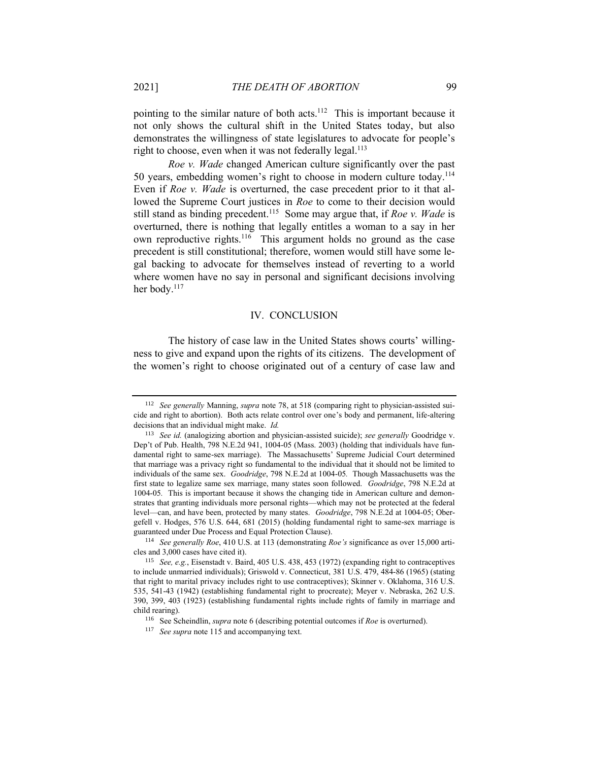pointing to the similar nature of both acts.<sup>112</sup> This is important because it not only shows the cultural shift in the United States today, but also demonstrates the willingness of state legislatures to advocate for people's right to choose, even when it was not federally legal.<sup>113</sup>

*Roe v. Wade* changed American culture significantly over the past 50 years, embedding women's right to choose in modern culture today.<sup>114</sup> Even if *Roe v. Wade* is overturned, the case precedent prior to it that allowed the Supreme Court justices in *Roe* to come to their decision would still stand as binding precedent.<sup>115</sup> Some may argue that, if *Roe v. Wade* is overturned, there is nothing that legally entitles a woman to a say in her own reproductive rights.<sup>116</sup> This argument holds no ground as the case precedent is still constitutional; therefore, women would still have some legal backing to advocate for themselves instead of reverting to a world where women have no say in personal and significant decisions involving her body.<sup>117</sup>

#### IV. CONCLUSION

The history of case law in the United States shows courts' willingness to give and expand upon the rights of its citizens. The development of the women's right to choose originated out of a century of case law and

<sup>112</sup> *See generally* Manning, *supra* note 78, at 518 (comparing right to physician-assisted suicide and right to abortion). Both acts relate control over one's body and permanent, life-altering decisions that an individual might make. *Id.* 

<sup>&</sup>lt;sup>113</sup> *See id.* (analogizing abortion and physician-assisted suicide); *see generally* Goodridge v. Dep't of Pub. Health, 798 N.E.2d 941, 1004-05 (Mass. 2003) (holding that individuals have fundamental right to same-sex marriage). The Massachusetts' Supreme Judicial Court determined that marriage was a privacy right so fundamental to the individual that it should not be limited to individuals of the same sex. *Goodridge*, 798 N.E.2d at 1004-05*.* Though Massachusetts was the first state to legalize same sex marriage, many states soon followed. *Goodridge*, 798 N.E.2d at 1004-05*.* This is important because it shows the changing tide in American culture and demonstrates that granting individuals more personal rights—which may not be protected at the federal level—can, and have been, protected by many states. *Goodridge*, 798 N.E.2d at 1004-05; Obergefell v. Hodges, 576 U.S. 644, 681 (2015) (holding fundamental right to same-sex marriage is guaranteed under Due Process and Equal Protection Clause).

<sup>114</sup> *See generally Roe*, 410 U.S. at 113 (demonstrating *Roe's* significance as over 15,000 articles and 3,000 cases have cited it).

<sup>115</sup> *See, e.g.*, Eisenstadt v. Baird, 405 U.S. 438, 453 (1972) (expanding right to contraceptives to include unmarried individuals); Griswold v. Connecticut, 381 U.S. 479, 484-86 (1965) (stating that right to marital privacy includes right to use contraceptives); Skinner v. Oklahoma, 316 U.S. 535, 541-43 (1942) (establishing fundamental right to procreate); Meyer v. Nebraska, 262 U.S. 390, 399, 403 (1923) (establishing fundamental rights include rights of family in marriage and child rearing).

<sup>116</sup> See Scheindlin, *supra* note 6 (describing potential outcomes if *Roe* is overturned).

<sup>&</sup>lt;sup>117</sup> *See supra* note 115 and accompanying text.